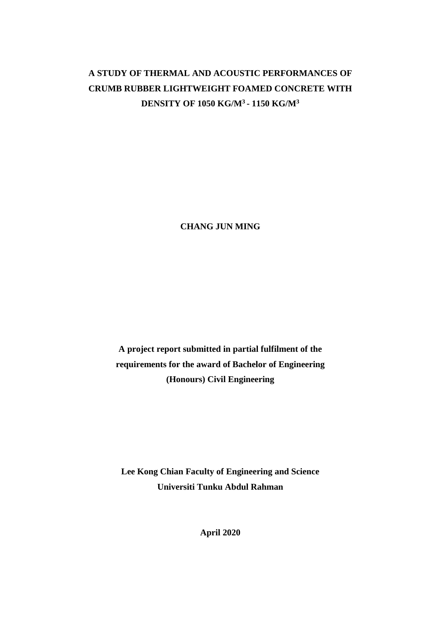# **A STUDY OF THERMAL AND ACOUSTIC PERFORMANCES OF CRUMB RUBBER LIGHTWEIGHT FOAMED CONCRETE WITH DENSITY OF 1050 KG/M<sup>3</sup> - 1150 KG/M<sup>3</sup>**

**CHANG JUN MING**

**A project report submitted in partial fulfilment of the requirements for the award of Bachelor of Engineering (Honours) Civil Engineering**

**Lee Kong Chian Faculty of Engineering and Science Universiti Tunku Abdul Rahman**

**April 2020**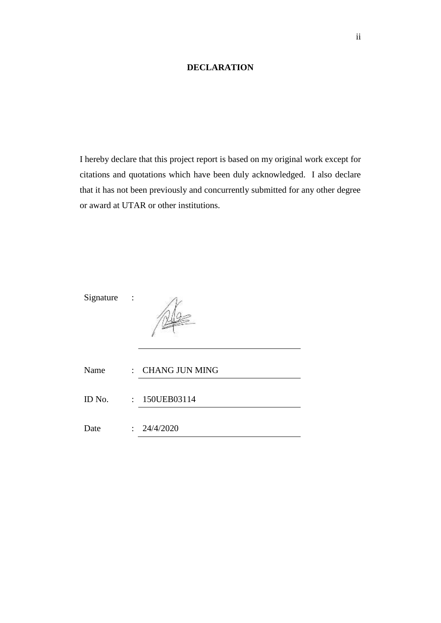## **DECLARATION**

<span id="page-1-0"></span>I hereby declare that this project report is based on my original work except for citations and quotations which have been duly acknowledged. I also declare that it has not been previously and concurrently submitted for any other degree or award at UTAR or other institutions.

Signature :



| Name   | : CHANG JUN MING |  |
|--------|------------------|--|
|        |                  |  |
| ID No. | $: 150$ UEB03114 |  |
|        |                  |  |
| Date   | : 24/4/2020      |  |
|        |                  |  |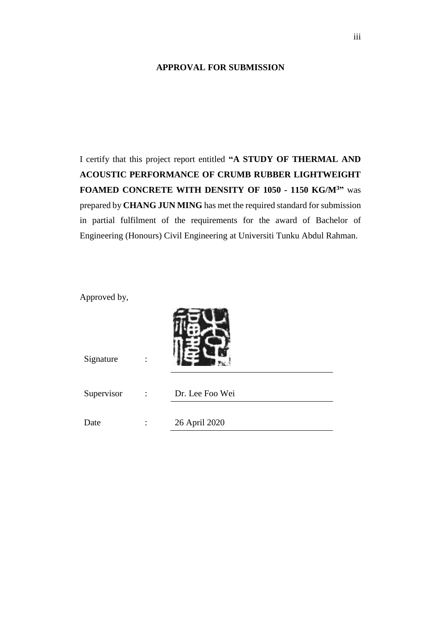#### <span id="page-2-0"></span>**APPROVAL FOR SUBMISSION**

I certify that this project report entitled **"A STUDY OF THERMAL AND ACOUSTIC PERFORMANCE OF CRUMB RUBBER LIGHTWEIGHT FOAMED CONCRETE WITH DENSITY OF 1050 - 1150 KG/M<sup>3</sup>"** was prepared by **CHANG JUN MING** has met the required standard for submission in partial fulfilment of the requirements for the award of Bachelor of Engineering (Honours) Civil Engineering at Universiti Tunku Abdul Rahman.

Approved by,

| Signature  |                      |                 |
|------------|----------------------|-----------------|
| Supervisor | $\ddot{\phantom{1}}$ | Dr. Lee Foo Wei |
| Date       |                      | 26 April 2020   |

 $2 - 6M$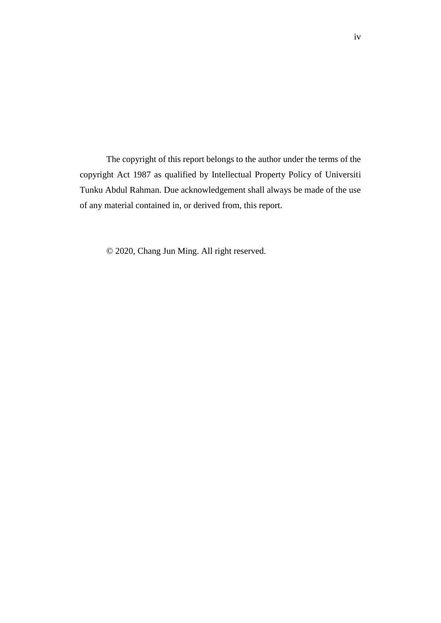The copyright of this report belongs to the author under the terms of the copyright Act 1987 as qualified by Intellectual Property Policy of Universiti Tunku Abdul Rahman. Due acknowledgement shall always be made of the use of any material contained in, or derived from, this report.

© 2020, Chang Jun Ming. All right reserved.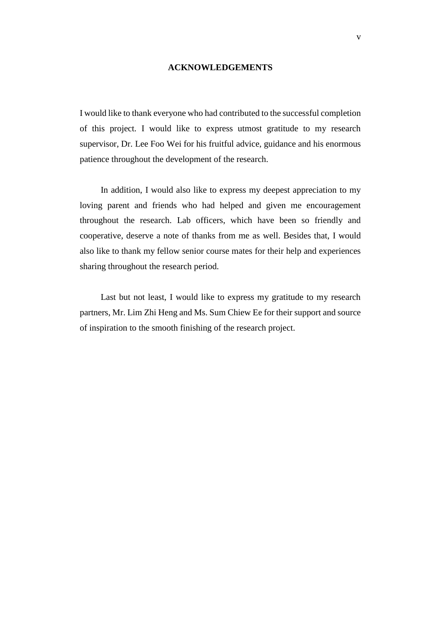#### **ACKNOWLEDGEMENTS**

<span id="page-4-0"></span>I would like to thank everyone who had contributed to the successful completion of this project. I would like to express utmost gratitude to my research supervisor, Dr. Lee Foo Wei for his fruitful advice, guidance and his enormous patience throughout the development of the research.

In addition, I would also like to express my deepest appreciation to my loving parent and friends who had helped and given me encouragement throughout the research. Lab officers, which have been so friendly and cooperative, deserve a note of thanks from me as well. Besides that, I would also like to thank my fellow senior course mates for their help and experiences sharing throughout the research period.

Last but not least, I would like to express my gratitude to my research partners, Mr. Lim Zhi Heng and Ms. Sum Chiew Ee for their support and source of inspiration to the smooth finishing of the research project.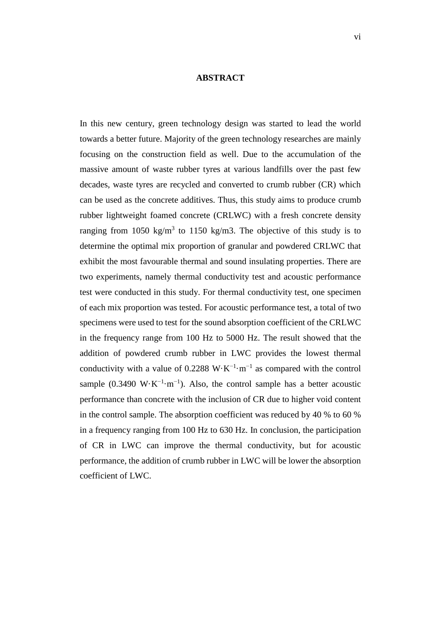#### **ABSTRACT**

<span id="page-5-0"></span>In this new century, green technology design was started to lead the world towards a better future. Majority of the green technology researches are mainly focusing on the construction field as well. Due to the accumulation of the massive amount of waste rubber tyres at various landfills over the past few decades, waste tyres are recycled and converted to crumb rubber (CR) which can be used as the concrete additives. Thus, this study aims to produce crumb rubber lightweight foamed concrete (CRLWC) with a fresh concrete density ranging from 1050 kg/m<sup>3</sup> to 1150 kg/m3. The objective of this study is to determine the optimal mix proportion of granular and powdered CRLWC that exhibit the most favourable thermal and sound insulating properties. There are two experiments, namely thermal conductivity test and acoustic performance test were conducted in this study. For thermal conductivity test, one specimen of each mix proportion was tested. For acoustic performance test, a total of two specimens were used to test for the sound absorption coefficient of the CRLWC in the frequency range from 100 Hz to 5000 Hz. The result showed that the addition of powdered crumb rubber in LWC provides the lowest thermal conductivity with a value of 0.2288 W⋅K<sup>-1</sup>⋅m<sup>-1</sup> as compared with the control sample (0.3490 W·K<sup>-1</sup>·m<sup>-1</sup>). Also, the control sample has a better acoustic performance than concrete with the inclusion of CR due to higher void content in the control sample. The absorption coefficient was reduced by 40 % to 60 % in a frequency ranging from 100 Hz to 630 Hz. In conclusion, the participation of CR in LWC can improve the thermal conductivity, but for acoustic performance, the addition of crumb rubber in LWC will be lower the absorption coefficient of LWC.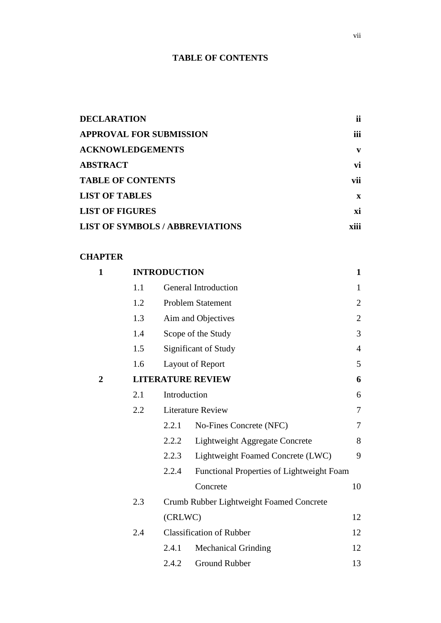# **TABLE OF CONTENTS**

<span id="page-6-0"></span>

| <b>DECLARATION</b>                     | ii           |
|----------------------------------------|--------------|
| <b>APPROVAL FOR SUBMISSION</b>         | <b>iii</b>   |
| <b>ACKNOWLEDGEMENTS</b>                | V            |
| <b>ABSTRACT</b>                        | vi           |
| <b>TABLE OF CONTENTS</b>               | vii          |
| <b>LIST OF TABLES</b>                  | $\mathbf{x}$ |
| <b>LIST OF FIGURES</b>                 | xi           |
| <b>LIST OF SYMBOLS / ABBREVIATIONS</b> | xiii         |

# **CHAPTER**

| $\mathbf{1}$ |     | <b>INTRODUCTION</b>      |                                           | $\mathbf{1}$   |
|--------------|-----|--------------------------|-------------------------------------------|----------------|
|              | 1.1 |                          | <b>General Introduction</b>               | 1              |
|              | 1.2 |                          | <b>Problem Statement</b>                  | $\overline{2}$ |
|              | 1.3 |                          | Aim and Objectives                        | $\mathbf{2}$   |
|              | 1.4 |                          | Scope of the Study                        | 3              |
|              | 1.5 |                          | Significant of Study                      | $\overline{4}$ |
|              | 1.6 |                          | Layout of Report                          | 5              |
| 2            |     | <b>LITERATURE REVIEW</b> |                                           |                |
|              | 2.1 | Introduction             |                                           | 6              |
|              | 2.2 |                          | <b>Literature Review</b>                  | $\tau$         |
|              |     | 2.2.1                    | No-Fines Concrete (NFC)                   | 7              |
|              |     | 2.2.2                    | Lightweight Aggregate Concrete            | 8              |
|              |     | 2.2.3                    | Lightweight Foamed Concrete (LWC)         | 9              |
|              |     | 2.2.4                    | Functional Properties of Lightweight Foam |                |
|              |     |                          | Concrete                                  | 10             |
|              | 2.3 |                          | Crumb Rubber Lightweight Foamed Concrete  |                |
|              |     | (CRLWC)                  |                                           | 12             |
|              | 2.4 |                          | <b>Classification of Rubber</b>           | 12             |
|              |     | 2.4.1                    | <b>Mechanical Grinding</b>                | 12             |
|              |     | 2.4.2                    | <b>Ground Rubber</b>                      | 13             |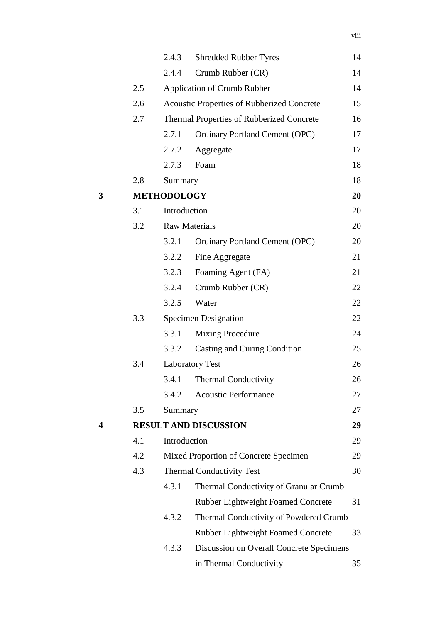|   |     | 2.4.3                  | <b>Shredded Rubber Tyres</b>                      | 14 |
|---|-----|------------------------|---------------------------------------------------|----|
|   |     | 2.4.4                  | Crumb Rubber (CR)                                 | 14 |
|   | 2.5 |                        | <b>Application of Crumb Rubber</b>                | 14 |
|   | 2.6 |                        | <b>Acoustic Properties of Rubberized Concrete</b> | 15 |
|   | 2.7 |                        | Thermal Properties of Rubberized Concrete         | 16 |
|   |     | 2.7.1                  | <b>Ordinary Portland Cement (OPC)</b>             | 17 |
|   |     | 2.7.2                  | Aggregate                                         | 17 |
|   |     | 2.7.3                  | Foam                                              | 18 |
|   | 2.8 | Summary                |                                                   | 18 |
| 3 |     | <b>METHODOLOGY</b>     |                                                   | 20 |
|   | 3.1 | Introduction           |                                                   | 20 |
|   | 3.2 | <b>Raw Materials</b>   |                                                   | 20 |
|   |     | 3.2.1                  | <b>Ordinary Portland Cement (OPC)</b>             | 20 |
|   |     | 3.2.2                  | Fine Aggregate                                    | 21 |
|   |     | 3.2.3                  | Foaming Agent (FA)                                | 21 |
|   |     | 3.2.4                  | Crumb Rubber (CR)                                 | 22 |
|   |     | 3.2.5                  | Water                                             | 22 |
|   | 3.3 |                        | <b>Specimen Designation</b>                       | 22 |
|   |     | 3.3.1                  | <b>Mixing Procedure</b>                           | 24 |
|   |     | 3.3.2                  | Casting and Curing Condition                      | 25 |
|   | 3.4 | <b>Laboratory Test</b> |                                                   | 26 |
|   |     | 3.4.1                  | <b>Thermal Conductivity</b>                       | 26 |
|   |     | 3.4.2                  | <b>Acoustic Performance</b>                       | 27 |
|   | 3.5 | Summary                |                                                   | 27 |
| 4 |     |                        | <b>RESULT AND DISCUSSION</b>                      | 29 |
|   | 4.1 | Introduction           |                                                   | 29 |
|   | 4.2 |                        | Mixed Proportion of Concrete Specimen             | 29 |
|   | 4.3 |                        | <b>Thermal Conductivity Test</b>                  | 30 |
|   |     | 4.3.1                  | Thermal Conductivity of Granular Crumb            |    |
|   |     |                        | Rubber Lightweight Foamed Concrete                | 31 |
|   |     | 4.3.2                  | Thermal Conductivity of Powdered Crumb            |    |
|   |     |                        | Rubber Lightweight Foamed Concrete                | 33 |
|   |     | 4.3.3                  | Discussion on Overall Concrete Specimens          |    |
|   |     |                        | in Thermal Conductivity                           | 35 |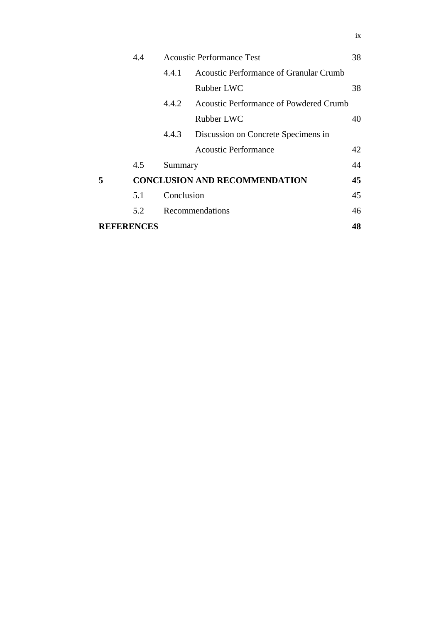|                   | 4.4 | <b>Acoustic Performance Test</b> |                                        | 38 |
|-------------------|-----|----------------------------------|----------------------------------------|----|
|                   |     | 4.4.1                            | Acoustic Performance of Granular Crumb |    |
|                   |     |                                  | Rubber LWC                             | 38 |
|                   |     | 4.4.2                            | Acoustic Performance of Powdered Crumb |    |
|                   |     |                                  | Rubber LWC                             | 40 |
|                   |     | 4.4.3                            | Discussion on Concrete Specimens in    |    |
|                   |     |                                  | <b>Acoustic Performance</b>            | 42 |
|                   | 4.5 | Summary                          |                                        | 44 |
| 5                 |     |                                  | <b>CONCLUSION AND RECOMMENDATION</b>   | 45 |
|                   | 5.1 | Conclusion                       |                                        | 45 |
|                   | 5.2 |                                  | Recommendations                        | 46 |
| <b>REFERENCES</b> |     |                                  |                                        | 48 |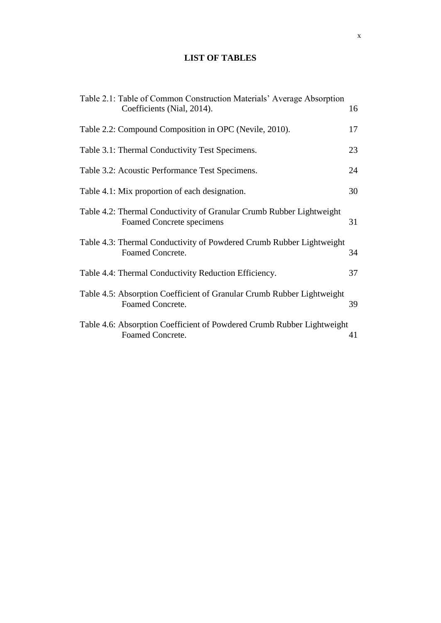# **LIST OF TABLES**

<span id="page-9-0"></span>

| Table 2.1: Table of Common Construction Materials' Average Absorption<br>Coefficients (Nial, 2014). | 16 |
|-----------------------------------------------------------------------------------------------------|----|
| Table 2.2: Compound Composition in OPC (Nevile, 2010).                                              | 17 |
| Table 3.1: Thermal Conductivity Test Specimens.                                                     | 23 |
| Table 3.2: Acoustic Performance Test Specimens.                                                     | 24 |
| Table 4.1: Mix proportion of each designation.                                                      | 30 |
| Table 4.2: Thermal Conductivity of Granular Crumb Rubber Lightweight<br>Foamed Concrete specimens   | 31 |
| Table 4.3: Thermal Conductivity of Powdered Crumb Rubber Lightweight<br>Foamed Concrete.            | 34 |
| Table 4.4: Thermal Conductivity Reduction Efficiency.                                               | 37 |
| Table 4.5: Absorption Coefficient of Granular Crumb Rubber Lightweight<br>Foamed Concrete.          | 39 |
| Table 4.6: Absorption Coefficient of Powdered Crumb Rubber Lightweight<br>Foamed Concrete.          | 41 |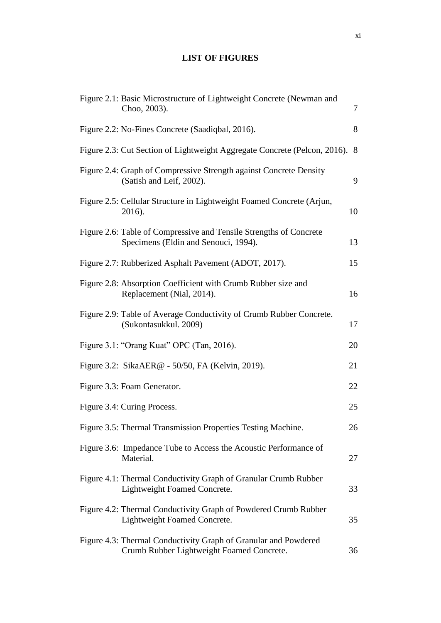# **LIST OF FIGURES**

<span id="page-10-0"></span>

| Figure 2.1: Basic Microstructure of Lightweight Concrete (Newman and<br>Choo, 2003).                         | 7  |
|--------------------------------------------------------------------------------------------------------------|----|
| Figure 2.2: No-Fines Concrete (Saadiqbal, 2016).                                                             | 8  |
| Figure 2.3: Cut Section of Lightweight Aggregate Concrete (Pelcon, 2016). 8                                  |    |
| Figure 2.4: Graph of Compressive Strength against Concrete Density<br>(Satish and Leif, 2002).               | 9  |
| Figure 2.5: Cellular Structure in Lightweight Foamed Concrete (Arjun,<br>2016).                              | 10 |
| Figure 2.6: Table of Compressive and Tensile Strengths of Concrete<br>Specimens (Eldin and Senouci, 1994).   | 13 |
| Figure 2.7: Rubberized Asphalt Pavement (ADOT, 2017).                                                        | 15 |
| Figure 2.8: Absorption Coefficient with Crumb Rubber size and<br>Replacement (Nial, 2014).                   | 16 |
| Figure 2.9: Table of Average Conductivity of Crumb Rubber Concrete.<br>(Sukontasukkul. 2009)                 | 17 |
| Figure 3.1: "Orang Kuat" OPC (Tan, 2016).                                                                    | 20 |
| Figure 3.2: SikaAER@ - 50/50, FA (Kelvin, 2019).                                                             | 21 |
| Figure 3.3: Foam Generator.                                                                                  | 22 |
| Figure 3.4: Curing Process.                                                                                  | 25 |
| Figure 3.5: Thermal Transmission Properties Testing Machine.                                                 | 26 |
| Figure 3.6: Impedance Tube to Access the Acoustic Performance of<br>Material.                                | 27 |
| Figure 4.1: Thermal Conductivity Graph of Granular Crumb Rubber<br>Lightweight Foamed Concrete.              | 33 |
| Figure 4.2: Thermal Conductivity Graph of Powdered Crumb Rubber<br>Lightweight Foamed Concrete.              | 35 |
| Figure 4.3: Thermal Conductivity Graph of Granular and Powdered<br>Crumb Rubber Lightweight Foamed Concrete. | 36 |

xi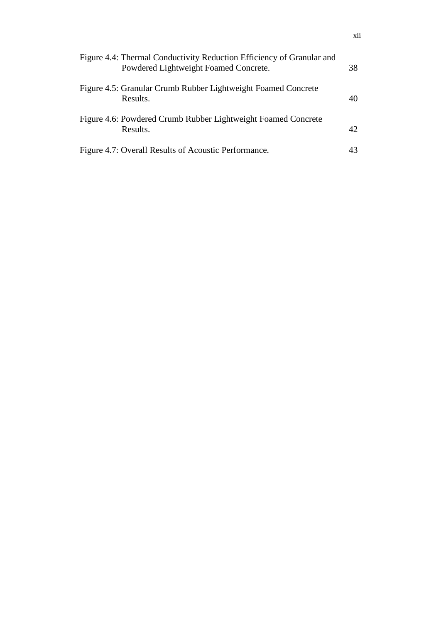| Figure 4.4: Thermal Conductivity Reduction Efficiency of Granular and<br>Powdered Lightweight Foamed Concrete. | 38 |
|----------------------------------------------------------------------------------------------------------------|----|
| Figure 4.5: Granular Crumb Rubber Lightweight Foamed Concrete<br>Results.                                      | 40 |
| Figure 4.6: Powdered Crumb Rubber Lightweight Foamed Concrete<br>Results.                                      | 42 |
| Figure 4.7: Overall Results of Acoustic Performance.                                                           | 43 |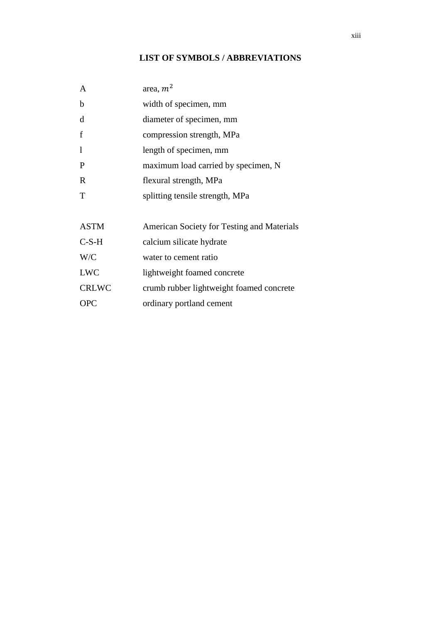# **LIST OF SYMBOLS / ABBREVIATIONS**

<span id="page-12-0"></span>

| area, $m2$                                 |
|--------------------------------------------|
| width of specimen, mm                      |
| diameter of specimen, mm                   |
| compression strength, MPa                  |
| length of specimen, mm                     |
| maximum load carried by specimen, N        |
| flexural strength, MPa                     |
| splitting tensile strength, MPa            |
|                                            |
| American Society for Testing and Materials |
| calcium silicate hydrate                   |
| water to cement ratio                      |
| lightweight foamed concrete                |
| crumb rubber lightweight foamed concrete   |
| ordinary portland cement                   |
|                                            |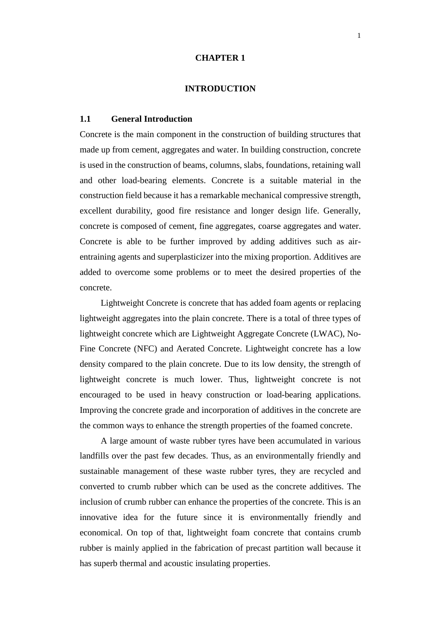#### **CHAPTER 1**

#### **1INTRODUCTION**

## <span id="page-13-1"></span><span id="page-13-0"></span>**1.1 General Introduction**

Concrete is the main component in the construction of building structures that made up from cement, aggregates and water. In building construction, concrete is used in the construction of beams, columns, slabs, foundations, retaining wall and other load-bearing elements. Concrete is a suitable material in the construction field because it has a remarkable mechanical compressive strength, excellent durability, good fire resistance and longer design life. Generally, concrete is composed of cement, fine aggregates, coarse aggregates and water. Concrete is able to be further improved by adding additives such as airentraining agents and superplasticizer into the mixing proportion. Additives are added to overcome some problems or to meet the desired properties of the concrete.

Lightweight Concrete is concrete that has added foam agents or replacing lightweight aggregates into the plain concrete. There is a total of three types of lightweight concrete which are Lightweight Aggregate Concrete (LWAC), No-Fine Concrete (NFC) and Aerated Concrete. Lightweight concrete has a low density compared to the plain concrete. Due to its low density, the strength of lightweight concrete is much lower. Thus, lightweight concrete is not encouraged to be used in heavy construction or load-bearing applications. Improving the concrete grade and incorporation of additives in the concrete are the common ways to enhance the strength properties of the foamed concrete.

A large amount of waste rubber tyres have been accumulated in various landfills over the past few decades. Thus, as an environmentally friendly and sustainable management of these waste rubber tyres, they are recycled and converted to crumb rubber which can be used as the concrete additives. The inclusion of crumb rubber can enhance the properties of the concrete. This is an innovative idea for the future since it is environmentally friendly and economical. On top of that, lightweight foam concrete that contains crumb rubber is mainly applied in the fabrication of precast partition wall because it has superb thermal and acoustic insulating properties.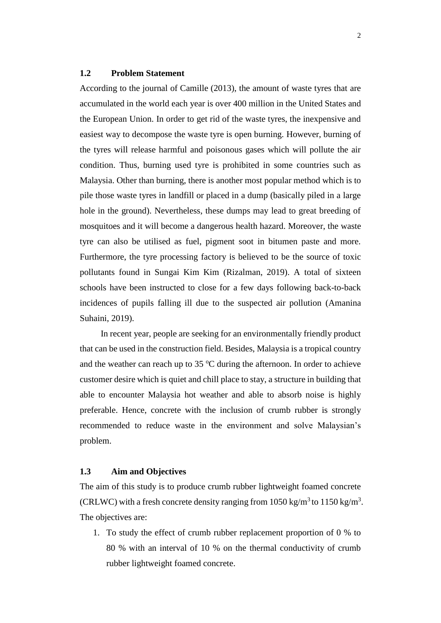## <span id="page-14-0"></span>**1.2 Problem Statement**

According to the journal of Camille (2013), the amount of waste tyres that are accumulated in the world each year is over 400 million in the United States and the European Union. In order to get rid of the waste tyres, the inexpensive and easiest way to decompose the waste tyre is open burning. However, burning of the tyres will release harmful and poisonous gases which will pollute the air condition. Thus, burning used tyre is prohibited in some countries such as Malaysia. Other than burning, there is another most popular method which is to pile those waste tyres in landfill or placed in a dump (basically piled in a large hole in the ground). Nevertheless, these dumps may lead to great breeding of mosquitoes and it will become a dangerous health hazard. Moreover, the waste tyre can also be utilised as fuel, pigment soot in bitumen paste and more. Furthermore, the tyre processing factory is believed to be the source of toxic pollutants found in Sungai Kim Kim (Rizalman, 2019). A total of sixteen schools have been instructed to close for a few days following back-to-back incidences of pupils falling ill due to the suspected air pollution (Amanina Suhaini, 2019).

In recent year, people are seeking for an environmentally friendly product that can be used in the construction field. Besides, Malaysia is a tropical country and the weather can reach up to  $35^{\circ}$ C during the afternoon. In order to achieve customer desire which is quiet and chill place to stay, a structure in building that able to encounter Malaysia hot weather and able to absorb noise is highly preferable. Hence, concrete with the inclusion of crumb rubber is strongly recommended to reduce waste in the environment and solve Malaysian's problem.

## <span id="page-14-1"></span>**1.3 Aim and Objectives**

The aim of this study is to produce crumb rubber lightweight foamed concrete (CRLWC) with a fresh concrete density ranging from 1050 kg/m<sup>3</sup> to 1150 kg/m<sup>3</sup>. The objectives are:

1. To study the effect of crumb rubber replacement proportion of 0 % to 80 % with an interval of 10 % on the thermal conductivity of crumb rubber lightweight foamed concrete.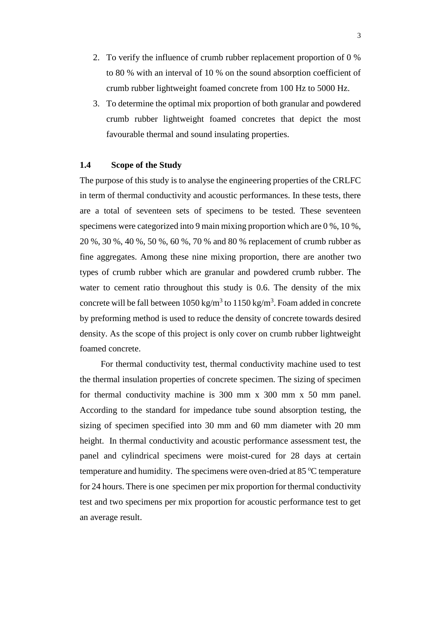- 2. To verify the influence of crumb rubber replacement proportion of 0 % to 80 % with an interval of 10 % on the sound absorption coefficient of crumb rubber lightweight foamed concrete from 100 Hz to 5000 Hz.
- 3. To determine the optimal mix proportion of both granular and powdered crumb rubber lightweight foamed concretes that depict the most favourable thermal and sound insulating properties.

#### <span id="page-15-0"></span>**1.4 Scope of the Study**

The purpose of this study is to analyse the engineering properties of the CRLFC in term of thermal conductivity and acoustic performances. In these tests, there are a total of seventeen sets of specimens to be tested. These seventeen specimens were categorized into 9 main mixing proportion which are 0 %, 10 %, 20 %, 30 %, 40 %, 50 %, 60 %, 70 % and 80 % replacement of crumb rubber as fine aggregates. Among these nine mixing proportion, there are another two types of crumb rubber which are granular and powdered crumb rubber. The water to cement ratio throughout this study is 0.6. The density of the mix concrete will be fall between  $1050 \text{ kg/m}^3$  to  $1150 \text{ kg/m}^3$ . Foam added in concrete by preforming method is used to reduce the density of concrete towards desired density. As the scope of this project is only cover on crumb rubber lightweight foamed concrete.

For thermal conductivity test, thermal conductivity machine used to test the thermal insulation properties of concrete specimen. The sizing of specimen for thermal conductivity machine is 300 mm x 300 mm x 50 mm panel. According to the standard for impedance tube sound absorption testing, the sizing of specimen specified into 30 mm and 60 mm diameter with 20 mm height. In thermal conductivity and acoustic performance assessment test, the panel and cylindrical specimens were moist-cured for 28 days at certain temperature and humidity. The specimens were oven-dried at  $85^{\circ}$ C temperature for 24 hours. There is one specimen per mix proportion for thermal conductivity test and two specimens per mix proportion for acoustic performance test to get an average result.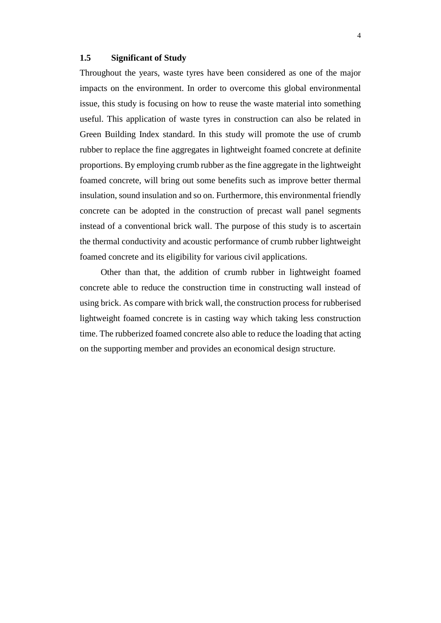#### <span id="page-16-0"></span>**1.5 Significant of Study**

Throughout the years, waste tyres have been considered as one of the major impacts on the environment. In order to overcome this global environmental issue, this study is focusing on how to reuse the waste material into something useful. This application of waste tyres in construction can also be related in Green Building Index standard. In this study will promote the use of crumb rubber to replace the fine aggregates in lightweight foamed concrete at definite proportions. By employing crumb rubber as the fine aggregate in the lightweight foamed concrete, will bring out some benefits such as improve better thermal insulation, sound insulation and so on. Furthermore, this environmental friendly concrete can be adopted in the construction of precast wall panel segments instead of a conventional brick wall. The purpose of this study is to ascertain the thermal conductivity and acoustic performance of crumb rubber lightweight foamed concrete and its eligibility for various civil applications.

Other than that, the addition of crumb rubber in lightweight foamed concrete able to reduce the construction time in constructing wall instead of using brick. As compare with brick wall, the construction process for rubberised lightweight foamed concrete is in casting way which taking less construction time. The rubberized foamed concrete also able to reduce the loading that acting on the supporting member and provides an economical design structure.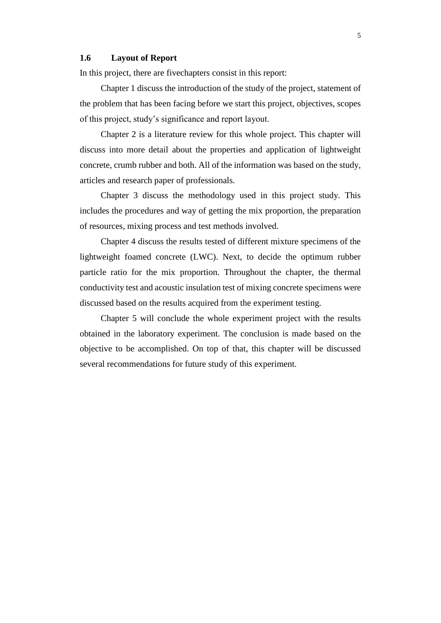#### <span id="page-17-0"></span>**1.6 Layout of Report**

In this project, there are fivechapters consist in this report:

Chapter 1 discuss the introduction of the study of the project, statement of the problem that has been facing before we start this project, objectives, scopes of this project, study's significance and report layout.

Chapter 2 is a literature review for this whole project. This chapter will discuss into more detail about the properties and application of lightweight concrete, crumb rubber and both. All of the information was based on the study, articles and research paper of professionals.

Chapter 3 discuss the methodology used in this project study. This includes the procedures and way of getting the mix proportion, the preparation of resources, mixing process and test methods involved.

Chapter 4 discuss the results tested of different mixture specimens of the lightweight foamed concrete (LWC). Next, to decide the optimum rubber particle ratio for the mix proportion. Throughout the chapter, the thermal conductivity test and acoustic insulation test of mixing concrete specimens were discussed based on the results acquired from the experiment testing.

Chapter 5 will conclude the whole experiment project with the results obtained in the laboratory experiment. The conclusion is made based on the objective to be accomplished. On top of that, this chapter will be discussed several recommendations for future study of this experiment.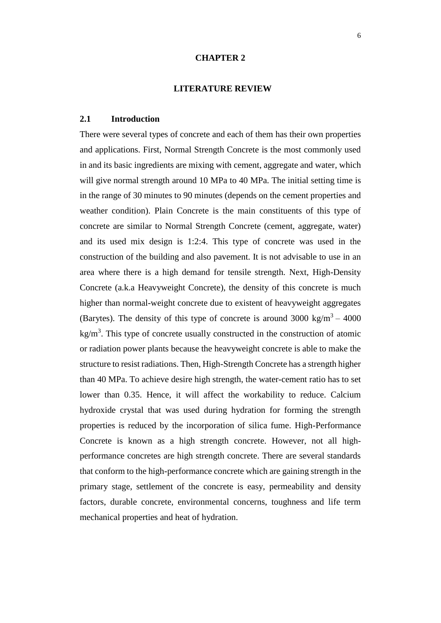#### **CHAPTER 2**

#### **2LITERATURE REVIEW**

#### <span id="page-18-1"></span><span id="page-18-0"></span>**2.1 Introduction**

There were several types of concrete and each of them has their own properties and applications. First, Normal Strength Concrete is the most commonly used in and its basic ingredients are mixing with cement, aggregate and water, which will give normal strength around 10 MPa to 40 MPa. The initial setting time is in the range of 30 minutes to 90 minutes (depends on the cement properties and weather condition). Plain Concrete is the main constituents of this type of concrete are similar to Normal Strength Concrete (cement, aggregate, water) and its used mix design is 1:2:4. This type of concrete was used in the construction of the building and also pavement. It is not advisable to use in an area where there is a high demand for tensile strength. Next, High-Density Concrete (a.k.a Heavyweight Concrete), the density of this concrete is much higher than normal-weight concrete due to existent of heavyweight aggregates (Barytes). The density of this type of concrete is around  $3000 \text{ kg/m}^3 - 4000$  $kg/m<sup>3</sup>$ . This type of concrete usually constructed in the construction of atomic or radiation power plants because the heavyweight concrete is able to make the structure to resist radiations. Then, High-Strength Concrete has a strength higher than 40 MPa. To achieve desire high strength, the water-cement ratio has to set lower than 0.35. Hence, it will affect the workability to reduce. Calcium hydroxide crystal that was used during hydration for forming the strength properties is reduced by the incorporation of silica fume. High-Performance Concrete is known as a high strength concrete. However, not all highperformance concretes are high strength concrete. There are several standards that conform to the high-performance concrete which are gaining strength in the primary stage, settlement of the concrete is easy, permeability and density factors, durable concrete, environmental concerns, toughness and life term mechanical properties and heat of hydration.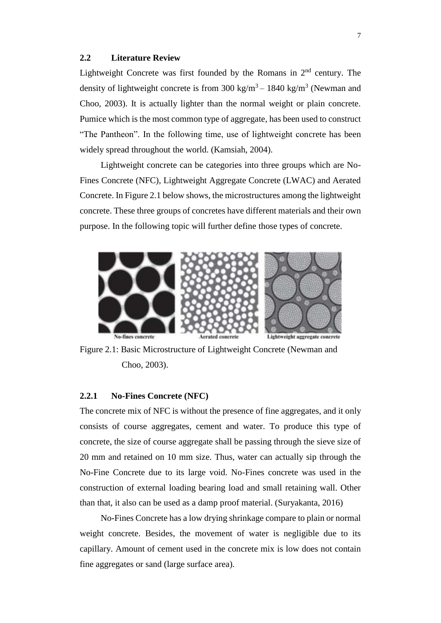## <span id="page-19-0"></span>**2.2 Literature Review**

Lightweight Concrete was first founded by the Romans in  $2<sup>nd</sup>$  century. The density of lightweight concrete is from 300 kg/m<sup>3</sup> – 1840 kg/m<sup>3</sup> (Newman and Choo, 2003). It is actually lighter than the normal weight or plain concrete. Pumice which is the most common type of aggregate, has been used to construct "The Pantheon". In the following time, use of lightweight concrete has been widely spread throughout the world. (Kamsiah, 2004).

Lightweight concrete can be categories into three groups which are No-Fines Concrete (NFC), Lightweight Aggregate Concrete (LWAC) and Aerated Concrete. In Figure 2.1 below shows, the microstructures among the lightweight concrete. These three groups of concretes have different materials and their own purpose. In the following topic will further define those types of concrete.



<span id="page-19-2"></span>Figure 2.1: Basic Microstructure of Lightweight Concrete (Newman and Choo, 2003).

## <span id="page-19-1"></span>**2.2.1 No-Fines Concrete (NFC)**

The concrete mix of NFC is without the presence of fine aggregates, and it only consists of course aggregates, cement and water. To produce this type of concrete, the size of course aggregate shall be passing through the sieve size of 20 mm and retained on 10 mm size. Thus, water can actually sip through the No-Fine Concrete due to its large void. No-Fines concrete was used in the construction of external loading bearing load and small retaining wall. Other than that, it also can be used as a damp proof material. (Suryakanta, 2016)

No-Fines Concrete has a low drying shrinkage compare to plain or normal weight concrete. Besides, the movement of water is negligible due to its capillary. Amount of cement used in the concrete mix is low does not contain fine aggregates or sand (large surface area).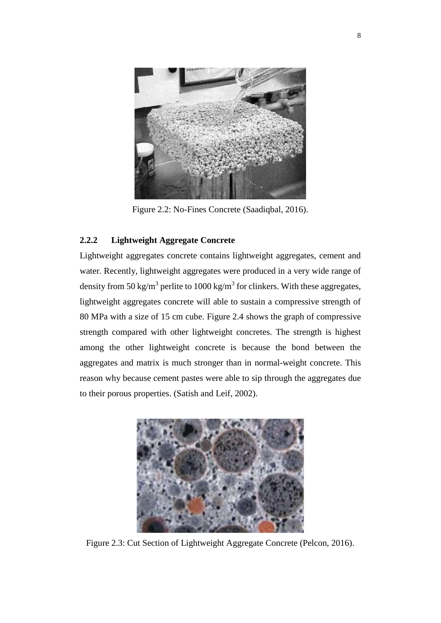

Figure 2.2: No-Fines Concrete (Saadiqbal, 2016).

## <span id="page-20-1"></span><span id="page-20-0"></span>**2.2.2 Lightweight Aggregate Concrete**

Lightweight aggregates concrete contains lightweight aggregates, cement and water. Recently, lightweight aggregates were produced in a very wide range of density from 50 kg/m<sup>3</sup> perlite to 1000 kg/m<sup>3</sup> for clinkers. With these aggregates, lightweight aggregates concrete will able to sustain a compressive strength of 80 MPa with a size of 15 cm cube. Figure 2.4 shows the graph of compressive strength compared with other lightweight concretes. The strength is highest among the other lightweight concrete is because the bond between the aggregates and matrix is much stronger than in normal-weight concrete. This reason why because cement pastes were able to sip through the aggregates due to their porous properties. (Satish and Leif, 2002).

<span id="page-20-2"></span>

Figure 2.3: Cut Section of Lightweight Aggregate Concrete (Pelcon, 2016).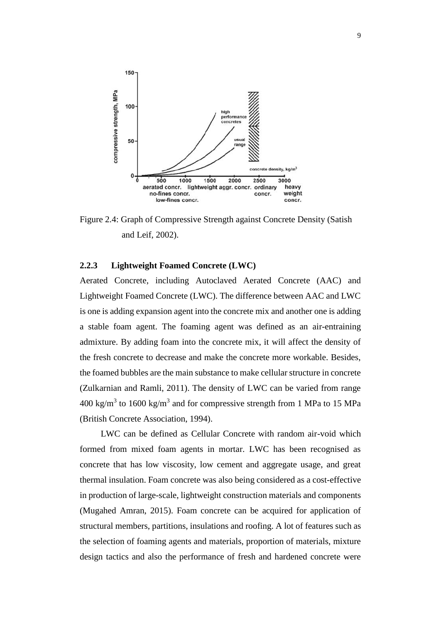

<span id="page-21-1"></span>Figure 2.4: Graph of Compressive Strength against Concrete Density (Satish and Leif, 2002).

#### <span id="page-21-0"></span>**2.2.3 Lightweight Foamed Concrete (LWC)**

Aerated Concrete, including Autoclaved Aerated Concrete (AAC) and Lightweight Foamed Concrete (LWC). The difference between AAC and LWC is one is adding expansion agent into the concrete mix and another one is adding a stable foam agent. The foaming agent was defined as an air-entraining admixture. By adding foam into the concrete mix, it will affect the density of the fresh concrete to decrease and make the concrete more workable. Besides, the foamed bubbles are the main substance to make cellular structure in concrete (Zulkarnian and Ramli, 2011). The density of LWC can be varied from range  $400 \text{ kg/m}^3$  to  $1600 \text{ kg/m}^3$  and for compressive strength from 1 MPa to 15 MPa (British Concrete Association, 1994).

LWC can be defined as Cellular Concrete with random air-void which formed from mixed foam agents in mortar. LWC has been recognised as concrete that has low viscosity, low cement and aggregate usage, and great thermal insulation. Foam concrete was also being considered as a cost-effective in production of large-scale, lightweight construction materials and components (Mugahed Amran, 2015). Foam concrete can be acquired for application of structural members, partitions, insulations and roofing. A lot of features such as the selection of foaming agents and materials, proportion of materials, mixture design tactics and also the performance of fresh and hardened concrete were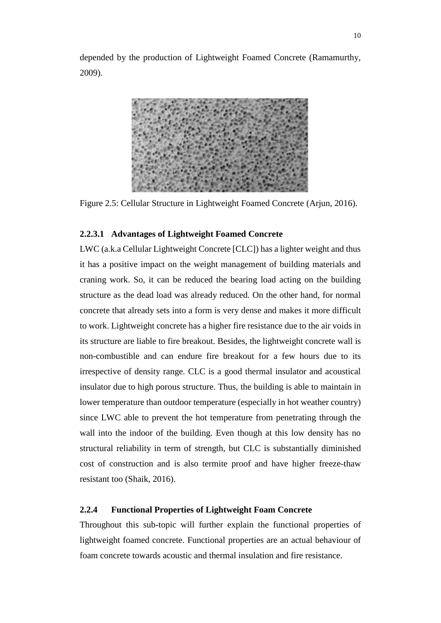depended by the production of Lightweight Foamed Concrete (Ramamurthy, 2009).



Figure 2.5: Cellular Structure in Lightweight Foamed Concrete (Arjun, 2016).

### <span id="page-22-1"></span>**2.2.3.1 Advantages of Lightweight Foamed Concrete**

LWC (a.k.a Cellular Lightweight Concrete [CLC]) has a lighter weight and thus it has a positive impact on the weight management of building materials and craning work. So, it can be reduced the bearing load acting on the building structure as the dead load was already reduced. On the other hand, for normal concrete that already sets into a form is very dense and makes it more difficult to work. Lightweight concrete has a higher fire resistance due to the air voids in its structure are liable to fire breakout. Besides, the lightweight concrete wall is non-combustible and can endure fire breakout for a few hours due to its irrespective of density range. CLC is a good thermal insulator and acoustical insulator due to high porous structure. Thus, the building is able to maintain in lower temperature than outdoor temperature (especially in hot weather country) since LWC able to prevent the hot temperature from penetrating through the wall into the indoor of the building. Even though at this low density has no structural reliability in term of strength, but CLC is substantially diminished cost of construction and is also termite proof and have higher freeze-thaw resistant too (Shaik, 2016).

## <span id="page-22-0"></span>**2.2.4 Functional Properties of Lightweight Foam Concrete**

Throughout this sub-topic will further explain the functional properties of lightweight foamed concrete. Functional properties are an actual behaviour of foam concrete towards acoustic and thermal insulation and fire resistance.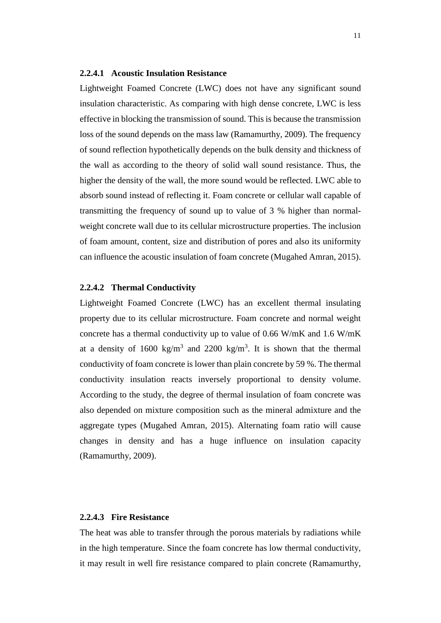#### **2.2.4.1 Acoustic Insulation Resistance**

Lightweight Foamed Concrete (LWC) does not have any significant sound insulation characteristic. As comparing with high dense concrete, LWC is less effective in blocking the transmission of sound. This is because the transmission loss of the sound depends on the mass law (Ramamurthy, 2009). The frequency of sound reflection hypothetically depends on the bulk density and thickness of the wall as according to the theory of solid wall sound resistance. Thus, the higher the density of the wall, the more sound would be reflected. LWC able to absorb sound instead of reflecting it. Foam concrete or cellular wall capable of transmitting the frequency of sound up to value of 3 % higher than normalweight concrete wall due to its cellular microstructure properties. The inclusion of foam amount, content, size and distribution of pores and also its uniformity can influence the acoustic insulation of foam concrete (Mugahed Amran, 2015).

#### **2.2.4.2 Thermal Conductivity**

Lightweight Foamed Concrete (LWC) has an excellent thermal insulating property due to its cellular microstructure. Foam concrete and normal weight concrete has a thermal conductivity up to value of 0.66 W/mK and 1.6 W/mK at a density of 1600 kg/m<sup>3</sup> and 2200 kg/m<sup>3</sup>. It is shown that the thermal conductivity of foam concrete is lower than plain concrete by 59 %. The thermal conductivity insulation reacts inversely proportional to density volume. According to the study, the degree of thermal insulation of foam concrete was also depended on mixture composition such as the mineral admixture and the aggregate types (Mugahed Amran, 2015). Alternating foam ratio will cause changes in density and has a huge influence on insulation capacity (Ramamurthy, 2009).

#### **2.2.4.3 Fire Resistance**

The heat was able to transfer through the porous materials by radiations while in the high temperature. Since the foam concrete has low thermal conductivity, it may result in well fire resistance compared to plain concrete (Ramamurthy,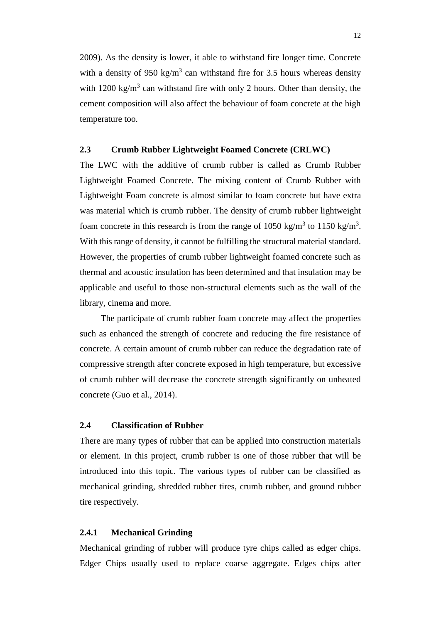2009). As the density is lower, it able to withstand fire longer time. Concrete with a density of 950 kg/m<sup>3</sup> can withstand fire for 3.5 hours whereas density with  $1200 \text{ kg/m}^3$  can withstand fire with only 2 hours. Other than density, the cement composition will also affect the behaviour of foam concrete at the high temperature too.

## <span id="page-24-0"></span>**2.3 Crumb Rubber Lightweight Foamed Concrete (CRLWC)**

The LWC with the additive of crumb rubber is called as Crumb Rubber Lightweight Foamed Concrete. The mixing content of Crumb Rubber with Lightweight Foam concrete is almost similar to foam concrete but have extra was material which is crumb rubber. The density of crumb rubber lightweight foam concrete in this research is from the range of 1050 kg/m<sup>3</sup> to 1150 kg/m<sup>3</sup>. With this range of density, it cannot be fulfilling the structural material standard. However, the properties of crumb rubber lightweight foamed concrete such as thermal and acoustic insulation has been determined and that insulation may be applicable and useful to those non-structural elements such as the wall of the library, cinema and more.

The participate of crumb rubber foam concrete may affect the properties such as enhanced the strength of concrete and reducing the fire resistance of concrete. A certain amount of crumb rubber can reduce the degradation rate of compressive strength after concrete exposed in high temperature, but excessive of crumb rubber will decrease the concrete strength significantly on unheated concrete (Guo et al., 2014).

#### <span id="page-24-1"></span>**2.4 Classification of Rubber**

There are many types of rubber that can be applied into construction materials or element. In this project, crumb rubber is one of those rubber that will be introduced into this topic. The various types of rubber can be classified as mechanical grinding, shredded rubber tires, crumb rubber, and ground rubber tire respectively.

## <span id="page-24-2"></span>**2.4.1 Mechanical Grinding**

Mechanical grinding of rubber will produce tyre chips called as edger chips. Edger Chips usually used to replace coarse aggregate. Edges chips after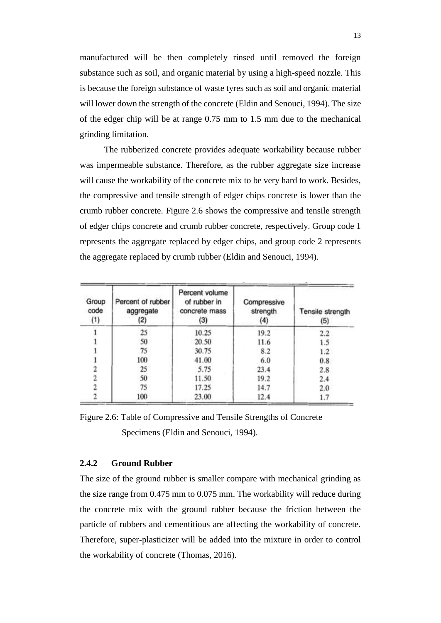manufactured will be then completely rinsed until removed the foreign substance such as soil, and organic material by using a high-speed nozzle. This is because the foreign substance of waste tyres such as soil and organic material will lower down the strength of the concrete (Eldin and Senouci, 1994). The size of the edger chip will be at range 0.75 mm to 1.5 mm due to the mechanical grinding limitation.

 The rubberized concrete provides adequate workability because rubber was impermeable substance. Therefore, as the rubber aggregate size increase will cause the workability of the concrete mix to be very hard to work. Besides, the compressive and tensile strength of edger chips concrete is lower than the crumb rubber concrete. Figure 2.6 shows the compressive and tensile strength of edger chips concrete and crumb rubber concrete, respectively. Group code 1 represents the aggregate replaced by edger chips, and group code 2 represents the aggregate replaced by crumb rubber (Eldin and Senouci, 1994).

| Group<br>code<br>(1) | Percent of rubber<br>aggregate<br>(2) | Percent volume<br>of rubber in<br>concrete mass<br>(3) | Compressive<br>strength<br>(4) | Tensile strength<br>(5) |
|----------------------|---------------------------------------|--------------------------------------------------------|--------------------------------|-------------------------|
|                      | 25                                    | 10.25                                                  | 19.2                           | 2.2                     |
|                      | 50                                    | 20.50                                                  | 11.6                           | 1.5                     |
|                      | 75                                    | 30.75                                                  | 8.2                            | 1.2                     |
|                      | 100                                   | 41.00                                                  | 6.0                            | 0.8                     |
|                      | 25                                    | 5.75                                                   | 23.4                           | 2.8                     |
|                      | 50                                    | 11.50                                                  | 19.2                           | 2.4                     |
|                      | 75                                    | 17.25                                                  | 14.7                           | 2.0                     |
|                      | 100                                   | 23.00                                                  | 12.4                           | 1.7                     |

<span id="page-25-1"></span>Figure 2.6: Table of Compressive and Tensile Strengths of Concrete Specimens (Eldin and Senouci, 1994).

#### <span id="page-25-0"></span>**2.4.2 Ground Rubber**

The size of the ground rubber is smaller compare with mechanical grinding as the size range from 0.475 mm to 0.075 mm. The workability will reduce during the concrete mix with the ground rubber because the friction between the particle of rubbers and cementitious are affecting the workability of concrete. Therefore, super-plasticizer will be added into the mixture in order to control the workability of concrete (Thomas, 2016).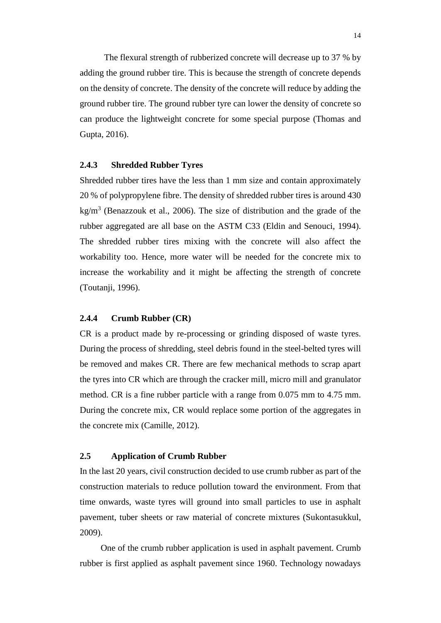The flexural strength of rubberized concrete will decrease up to 37 % by adding the ground rubber tire. This is because the strength of concrete depends on the density of concrete. The density of the concrete will reduce by adding the ground rubber tire. The ground rubber tyre can lower the density of concrete so can produce the lightweight concrete for some special purpose (Thomas and Gupta, 2016).

#### <span id="page-26-0"></span>**2.4.3 Shredded Rubber Tyres**

Shredded rubber tires have the less than 1 mm size and contain approximately 20 % of polypropylene fibre. The density of shredded rubber tires is around 430 kg/m<sup>3</sup> (Benazzouk et al., 2006). The size of distribution and the grade of the rubber aggregated are all base on the ASTM C33 (Eldin and Senouci, 1994). The shredded rubber tires mixing with the concrete will also affect the workability too. Hence, more water will be needed for the concrete mix to increase the workability and it might be affecting the strength of concrete (Toutanji, 1996).

#### <span id="page-26-1"></span>**2.4.4 Crumb Rubber (CR)**

CR is a product made by re-processing or grinding disposed of waste tyres. During the process of shredding, steel debris found in the steel-belted tyres will be removed and makes CR. There are few mechanical methods to scrap apart the tyres into CR which are through the cracker mill, micro mill and granulator method. CR is a fine rubber particle with a range from 0.075 mm to 4.75 mm. During the concrete mix, CR would replace some portion of the aggregates in the concrete mix (Camille, 2012).

## <span id="page-26-2"></span>**2.5 Application of Crumb Rubber**

In the last 20 years, civil construction decided to use crumb rubber as part of the construction materials to reduce pollution toward the environment. From that time onwards, waste tyres will ground into small particles to use in asphalt pavement, tuber sheets or raw material of concrete mixtures (Sukontasukkul, 2009).

One of the crumb rubber application is used in asphalt pavement. Crumb rubber is first applied as asphalt pavement since 1960. Technology nowadays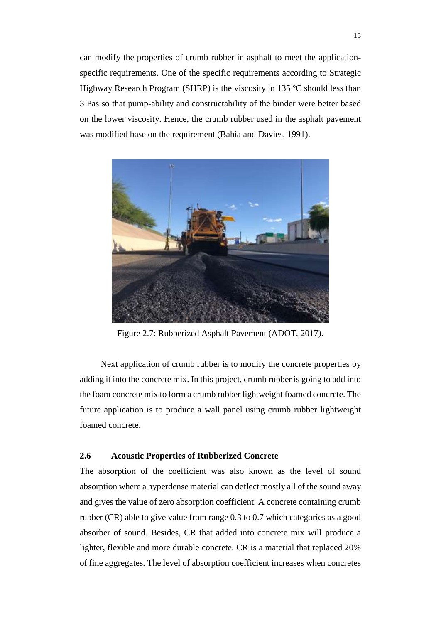can modify the properties of crumb rubber in asphalt to meet the applicationspecific requirements. One of the specific requirements according to Strategic Highway Research Program (SHRP) is the viscosity in 135 ºC should less than 3 Pas so that pump-ability and constructability of the binder were better based on the lower viscosity. Hence, the crumb rubber used in the asphalt pavement was modified base on the requirement (Bahia and Davies, 1991).



Figure 2.7: Rubberized Asphalt Pavement (ADOT, 2017).

<span id="page-27-1"></span>Next application of crumb rubber is to modify the concrete properties by adding it into the concrete mix. In this project, crumb rubber is going to add into the foam concrete mix to form a crumb rubber lightweight foamed concrete. The future application is to produce a wall panel using crumb rubber lightweight foamed concrete.

## <span id="page-27-0"></span>**2.6 Acoustic Properties of Rubberized Concrete**

The absorption of the coefficient was also known as the level of sound absorption where a hyperdense material can deflect mostly all of the sound away and gives the value of zero absorption coefficient. A concrete containing crumb rubber (CR) able to give value from range 0.3 to 0.7 which categories as a good absorber of sound. Besides, CR that added into concrete mix will produce a lighter, flexible and more durable concrete. CR is a material that replaced 20% of fine aggregates. The level of absorption coefficient increases when concretes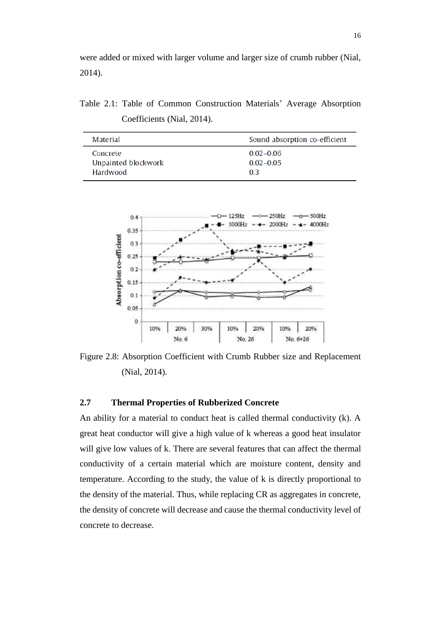were added or mixed with larger volume and larger size of crumb rubber (Nial, 2014).

<span id="page-28-1"></span>Table 2.1: Table of Common Construction Materials' Average Absorption Coefficients (Nial, 2014).

| Material            | Sound absorption co-efficient |
|---------------------|-------------------------------|
| Concrete            | $0.02 - 0.06$                 |
| Unpainted blockwork | $0.02 - 0.05$                 |
| Hardwood            | 03                            |



<span id="page-28-2"></span>Figure 2.8: Absorption Coefficient with Crumb Rubber size and Replacement (Nial, 2014).

## <span id="page-28-0"></span>**2.7 Thermal Properties of Rubberized Concrete**

An ability for a material to conduct heat is called thermal conductivity (k). A great heat conductor will give a high value of k whereas a good heat insulator will give low values of k. There are several features that can affect the thermal conductivity of a certain material which are moisture content, density and temperature. According to the study, the value of k is directly proportional to the density of the material. Thus, while replacing CR as aggregates in concrete, the density of concrete will decrease and cause the thermal conductivity level of concrete to decrease.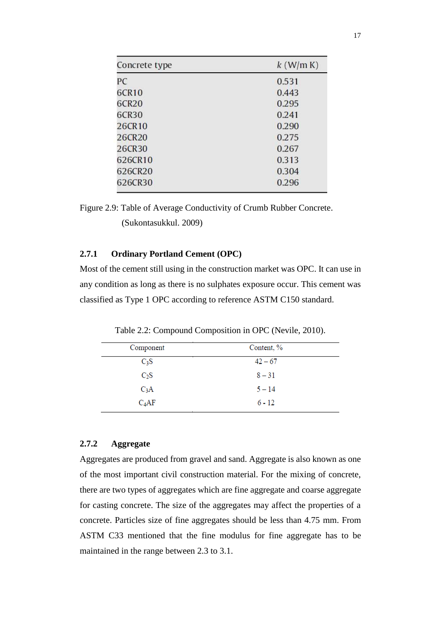| Concrete type | $k$ (W/m K) |  |  |
|---------------|-------------|--|--|
| PC            | 0.531       |  |  |
| 6CR10         | 0.443       |  |  |
| 6CR20         | 0.295       |  |  |
| 6CR30         | 0.241       |  |  |
| 26CR10        | 0.290       |  |  |
| 26CR20        | 0.275       |  |  |
| 26CR30        | 0.267       |  |  |
| 626CR10       | 0.313       |  |  |
| 626CR20       | 0.304       |  |  |
| 626CR30       | 0.296       |  |  |

<span id="page-29-3"></span>Figure 2.9: Table of Average Conductivity of Crumb Rubber Concrete. (Sukontasukkul. 2009)

#### <span id="page-29-0"></span>**2.7.1 Ordinary Portland Cement (OPC)**

Most of the cement still using in the construction market was OPC. It can use in any condition as long as there is no sulphates exposure occur. This cement was classified as Type 1 OPC according to reference ASTM C150 standard.

<span id="page-29-2"></span>

| Component        | Content, % |  |
|------------------|------------|--|
| $C_3S$           | $42 - 67$  |  |
| $C_2S$           | $8 - 31$   |  |
| C <sub>3</sub> A | $5 - 14$   |  |
| $C_4AF$          | $6 - 12$   |  |

Table 2.2: Compound Composition in OPC (Nevile, 2010).

## <span id="page-29-1"></span>**2.7.2 Aggregate**

Aggregates are produced from gravel and sand. Aggregate is also known as one of the most important civil construction material. For the mixing of concrete, there are two types of aggregates which are fine aggregate and coarse aggregate for casting concrete. The size of the aggregates may affect the properties of a concrete. Particles size of fine aggregates should be less than 4.75 mm. From ASTM C33 mentioned that the fine modulus for fine aggregate has to be maintained in the range between 2.3 to 3.1.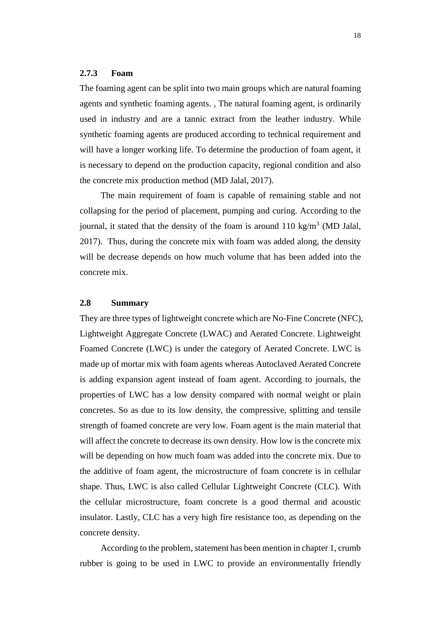#### <span id="page-30-0"></span>**2.7.3 Foam**

The foaming agent can be split into two main groups which are natural foaming agents and synthetic foaming agents. , The natural foaming agent, is ordinarily used in industry and are a tannic extract from the leather industry. While synthetic foaming agents are produced according to technical requirement and will have a longer working life. To determine the production of foam agent, it is necessary to depend on the production capacity, regional condition and also the concrete mix production method (MD Jalal, 2017).

The main requirement of foam is capable of remaining stable and not collapsing for the period of placement, pumping and curing. According to the journal, it stated that the density of the foam is around 110 kg/m<sup>3</sup> (MD Jalal, 2017). Thus, during the concrete mix with foam was added along, the density will be decrease depends on how much volume that has been added into the concrete mix.

## <span id="page-30-1"></span>**2.8 Summary**

They are three types of lightweight concrete which are No-Fine Concrete (NFC), Lightweight Aggregate Concrete (LWAC) and Aerated Concrete. Lightweight Foamed Concrete (LWC) is under the category of Aerated Concrete. LWC is made up of mortar mix with foam agents whereas Autoclaved Aerated Concrete is adding expansion agent instead of foam agent. According to journals, the properties of LWC has a low density compared with normal weight or plain concretes. So as due to its low density, the compressive, splitting and tensile strength of foamed concrete are very low. Foam agent is the main material that will affect the concrete to decrease its own density. How low is the concrete mix will be depending on how much foam was added into the concrete mix. Due to the additive of foam agent, the microstructure of foam concrete is in cellular shape. Thus, LWC is also called Cellular Lightweight Concrete (CLC). With the cellular microstructure, foam concrete is a good thermal and acoustic insulator. Lastly, CLC has a very high fire resistance too, as depending on the concrete density.

According to the problem, statement has been mention in chapter 1, crumb rubber is going to be used in LWC to provide an environmentally friendly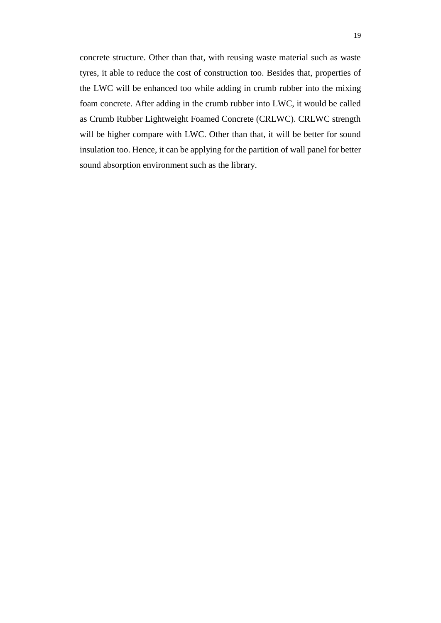concrete structure. Other than that, with reusing waste material such as waste tyres, it able to reduce the cost of construction too. Besides that, properties of the LWC will be enhanced too while adding in crumb rubber into the mixing foam concrete. After adding in the crumb rubber into LWC, it would be called as Crumb Rubber Lightweight Foamed Concrete (CRLWC). CRLWC strength will be higher compare with LWC. Other than that, it will be better for sound insulation too. Hence, it can be applying for the partition of wall panel for better sound absorption environment such as the library.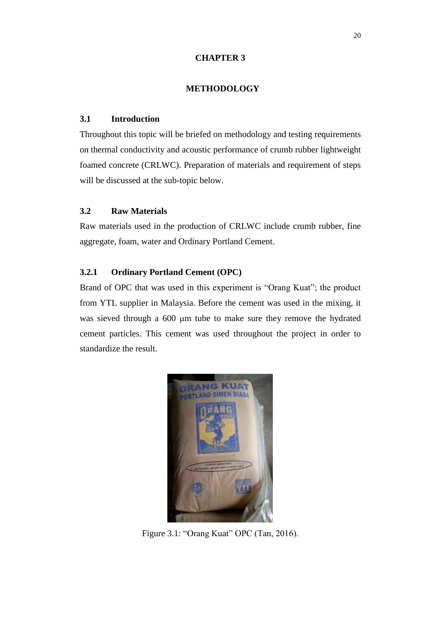#### **CHAPTER 3**

## **3METHODOLOGY**

## <span id="page-32-1"></span><span id="page-32-0"></span>**3.1 Introduction**

Throughout this topic will be briefed on methodology and testing requirements on thermal conductivity and acoustic performance of crumb rubber lightweight foamed concrete (CRLWC). Preparation of materials and requirement of steps will be discussed at the sub-topic below.

## <span id="page-32-2"></span>**3.2 Raw Materials**

Raw materials used in the production of CRLWC include crumb rubber, fine aggregate, foam, water and Ordinary Portland Cement.

## <span id="page-32-3"></span>**3.2.1 Ordinary Portland Cement (OPC)**

Brand of OPC that was used in this experiment is "Orang Kuat"; the product from YTL supplier in Malaysia. Before the cement was used in the mixing, it was sieved through a 600 μm tube to make sure they remove the hydrated cement particles. This cement was used throughout the project in order to standardize the result.

<span id="page-32-4"></span>

Figure 3.1: "Orang Kuat" OPC (Tan, 2016).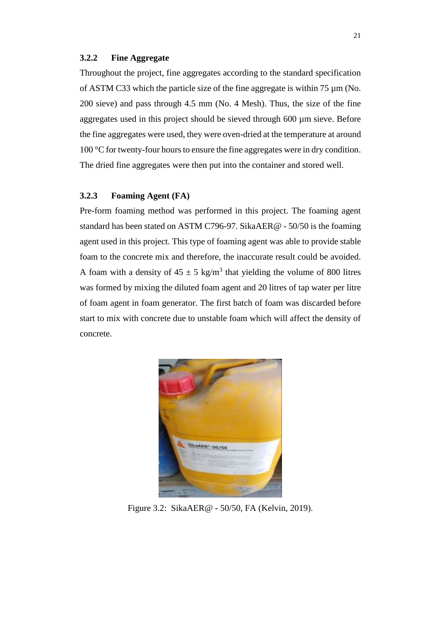#### <span id="page-33-0"></span>**3.2.2 Fine Aggregate**

Throughout the project, fine aggregates according to the standard specification of ASTM C33 which the particle size of the fine aggregate is within 75 µm (No. 200 sieve) and pass through 4.5 mm (No. 4 Mesh). Thus, the size of the fine aggregates used in this project should be sieved through 600 µm sieve. Before the fine aggregates were used, they were oven-dried at the temperature at around 100  $\degree$ C for twenty-four hours to ensure the fine aggregates were in dry condition. The dried fine aggregates were then put into the container and stored well.

## <span id="page-33-1"></span>**3.2.3 Foaming Agent (FA)**

Pre-form foaming method was performed in this project. The foaming agent standard has been stated on ASTM C796-97. SikaAER@ - 50/50 is the foaming agent used in this project. This type of foaming agent was able to provide stable foam to the concrete mix and therefore, the inaccurate result could be avoided. A foam with a density of  $45 \pm 5$  kg/m<sup>3</sup> that yielding the volume of 800 litres was formed by mixing the diluted foam agent and 20 litres of tap water per litre of foam agent in foam generator. The first batch of foam was discarded before start to mix with concrete due to unstable foam which will affect the density of concrete.

<span id="page-33-2"></span>

Figure 3.2: SikaAER@ - 50/50, FA (Kelvin, 2019).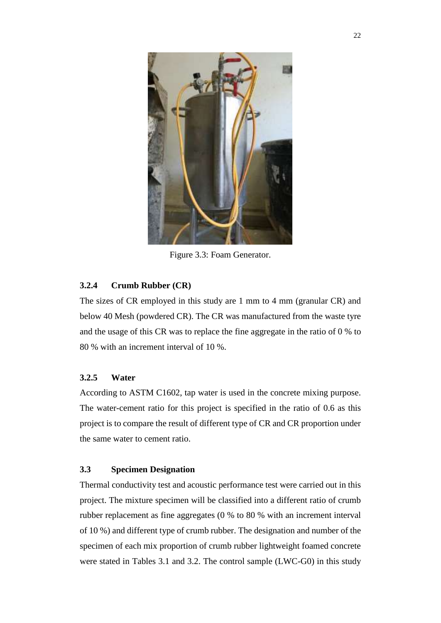

Figure 3.3: Foam Generator.

## <span id="page-34-3"></span><span id="page-34-0"></span>**3.2.4 Crumb Rubber (CR)**

The sizes of CR employed in this study are 1 mm to 4 mm (granular CR) and below 40 Mesh (powdered CR). The CR was manufactured from the waste tyre and the usage of this CR was to replace the fine aggregate in the ratio of 0 % to 80 % with an increment interval of 10 %.

## <span id="page-34-1"></span>**3.2.5 Water**

According to ASTM C1602, tap water is used in the concrete mixing purpose. The water-cement ratio for this project is specified in the ratio of 0.6 as this project is to compare the result of different type of CR and CR proportion under the same water to cement ratio.

## <span id="page-34-2"></span>**3.3 Specimen Designation**

Thermal conductivity test and acoustic performance test were carried out in this project. The mixture specimen will be classified into a different ratio of crumb rubber replacement as fine aggregates (0 % to 80 % with an increment interval of 10 %) and different type of crumb rubber. The designation and number of the specimen of each mix proportion of crumb rubber lightweight foamed concrete were stated in Tables 3.1 and 3.2. The control sample (LWC-G0) in this study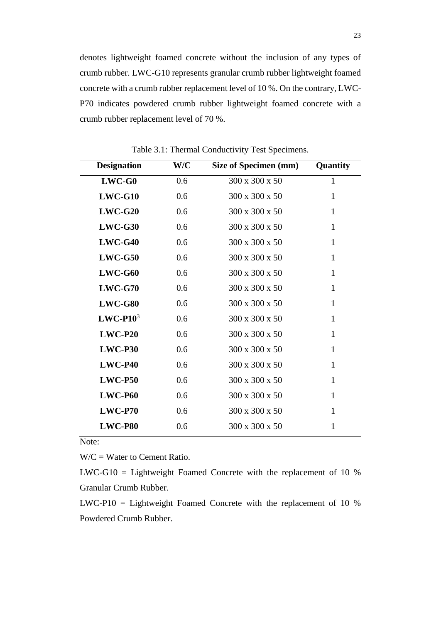denotes lightweight foamed concrete without the inclusion of any types of crumb rubber. LWC-G10 represents granular crumb rubber lightweight foamed concrete with a crumb rubber replacement level of 10 %. On the contrary, LWC-P70 indicates powdered crumb rubber lightweight foamed concrete with a crumb rubber replacement level of 70 %.

<span id="page-35-0"></span>

| <b>Designation</b> | W/C | Size of Specimen (mm)      | Quantity     |
|--------------------|-----|----------------------------|--------------|
| $LWC-G0$           | 0.6 | 300 x 300 x 50             | $\mathbf{1}$ |
| $LWC-G10$          | 0.6 | 300 x 300 x 50             | $\mathbf{1}$ |
| $LWC-G20$          | 0.6 | 300 x 300 x 50             | $\mathbf{1}$ |
| $LWC-G30$          | 0.6 | 300 x 300 x 50             | $\mathbf{1}$ |
| $LWC-G40$          | 0.6 | 300 x 300 x 50             | 1            |
| $LWC-G50$          | 0.6 | 300 x 300 x 50             | 1            |
| $LWC-G60$          | 0.6 | 300 x 300 x 50             | 1            |
| $LWC-G70$          | 0.6 | 300 x 300 x 50             | 1            |
| $LWC-G80$          | 0.6 | 300 x 300 x 50             | 1            |
| $LWC-P103$         | 0.6 | $300 \times 300 \times 50$ | $\mathbf{1}$ |
| $LWC-P20$          | 0.6 | 300 x 300 x 50             | $\mathbf{1}$ |
| $LWC-$ P30         | 0.6 | 300 x 300 x 50             | 1            |
| $LWC-P40$          | 0.6 | 300 x 300 x 50             | $\mathbf{1}$ |
| $LWC-PS0$          | 0.6 | 300 x 300 x 50             | 1            |
| $LWC-P60$          | 0.6 | 300 x 300 x 50             | 1            |
| $LWC- P70$         | 0.6 | 300 x 300 x 50             | 1            |
| LWC-P80            | 0.6 | 300 x 300 x 50             | 1            |

Table 3.1: Thermal Conductivity Test Specimens.

Note:

 $W/C = W$ ater to Cement Ratio.

LWC-G10 = Lightweight Foamed Concrete with the replacement of 10 % Granular Crumb Rubber.

LWC-P10 = Lightweight Foamed Concrete with the replacement of 10 % Powdered Crumb Rubber.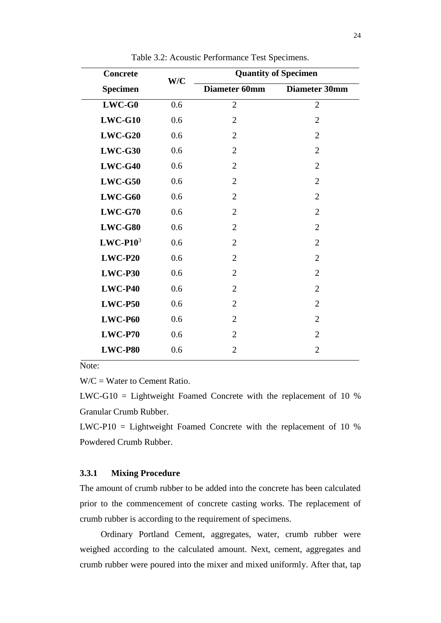<span id="page-36-1"></span>

| <b>Concrete</b> | W/C | <b>Quantity of Specimen</b> |                |  |  |  |  |
|-----------------|-----|-----------------------------|----------------|--|--|--|--|
| <b>Specimen</b> |     | Diameter 60mm               | Diameter 30mm  |  |  |  |  |
| $LWC-G0$        | 0.6 | $\overline{2}$              | $\overline{2}$ |  |  |  |  |
| $LWC-G10$       | 0.6 | $\overline{2}$              | $\overline{2}$ |  |  |  |  |
| $LWC-G20$       | 0.6 | $\overline{2}$              | $\overline{2}$ |  |  |  |  |
| $LWC-G30$       | 0.6 | $\overline{2}$              | $\overline{2}$ |  |  |  |  |
| $LWC-G40$       | 0.6 | $\overline{2}$              | $\overline{2}$ |  |  |  |  |
| $LWC-G50$       | 0.6 | $\overline{2}$              | $\overline{2}$ |  |  |  |  |
| $LWC-G60$       | 0.6 | $\overline{2}$              | $\overline{2}$ |  |  |  |  |
| $LWC-G70$       | 0.6 | $\overline{2}$              | $\overline{2}$ |  |  |  |  |
| $LWC-G80$       | 0.6 | $\overline{2}$              | $\overline{2}$ |  |  |  |  |
| $LWC-P103$      | 0.6 | $\overline{2}$              | $\overline{2}$ |  |  |  |  |
| $LWC-P20$       | 0.6 | $\overline{2}$              | $\overline{2}$ |  |  |  |  |
| $LWC-$ P30      | 0.6 | $\overline{2}$              | $\overline{2}$ |  |  |  |  |
| $LWC-P40$       | 0.6 | $\overline{2}$              | $\overline{2}$ |  |  |  |  |
| $LWC-P50$       | 0.6 | $\overline{2}$              | $\overline{2}$ |  |  |  |  |
| $LWC-P60$       | 0.6 | $\overline{2}$              | $\overline{2}$ |  |  |  |  |
| $LWC- P70$      | 0.6 | $\overline{2}$              | $\overline{2}$ |  |  |  |  |
| <b>LWC-P80</b>  | 0.6 | 2                           | 2              |  |  |  |  |

Table 3.2: Acoustic Performance Test Specimens.

Note:

 $W/C = W$ ater to Cement Ratio.

LWC-G10 = Lightweight Foamed Concrete with the replacement of 10 % Granular Crumb Rubber.

LWC-P10 = Lightweight Foamed Concrete with the replacement of 10 % Powdered Crumb Rubber.

## <span id="page-36-0"></span>**3.3.1 Mixing Procedure**

The amount of crumb rubber to be added into the concrete has been calculated prior to the commencement of concrete casting works. The replacement of crumb rubber is according to the requirement of specimens.

Ordinary Portland Cement, aggregates, water, crumb rubber were weighed according to the calculated amount. Next, cement, aggregates and crumb rubber were poured into the mixer and mixed uniformly. After that, tap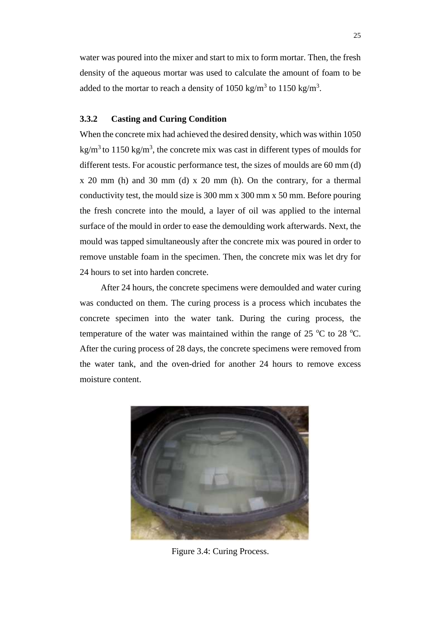water was poured into the mixer and start to mix to form mortar. Then, the fresh density of the aqueous mortar was used to calculate the amount of foam to be added to the mortar to reach a density of 1050 kg/m<sup>3</sup> to 1150 kg/m<sup>3</sup>.

## <span id="page-37-0"></span>**3.3.2 Casting and Curing Condition**

When the concrete mix had achieved the desired density, which was within 1050 kg/m<sup>3</sup> to 1150 kg/m<sup>3</sup>, the concrete mix was cast in different types of moulds for different tests. For acoustic performance test, the sizes of moulds are 60 mm (d) x 20 mm (h) and 30 mm (d) x 20 mm (h). On the contrary, for a thermal conductivity test, the mould size is 300 mm x 300 mm x 50 mm. Before pouring the fresh concrete into the mould, a layer of oil was applied to the internal surface of the mould in order to ease the demoulding work afterwards. Next, the mould was tapped simultaneously after the concrete mix was poured in order to remove unstable foam in the specimen. Then, the concrete mix was let dry for 24 hours to set into harden concrete.

After 24 hours, the concrete specimens were demoulded and water curing was conducted on them. The curing process is a process which incubates the concrete specimen into the water tank. During the curing process, the temperature of the water was maintained within the range of 25  $\mathrm{^{\circ}C}$  to 28  $\mathrm{^{\circ}C}$ . After the curing process of 28 days, the concrete specimens were removed from the water tank, and the oven-dried for another 24 hours to remove excess moisture content.

<span id="page-37-1"></span>

Figure 3.4: Curing Process.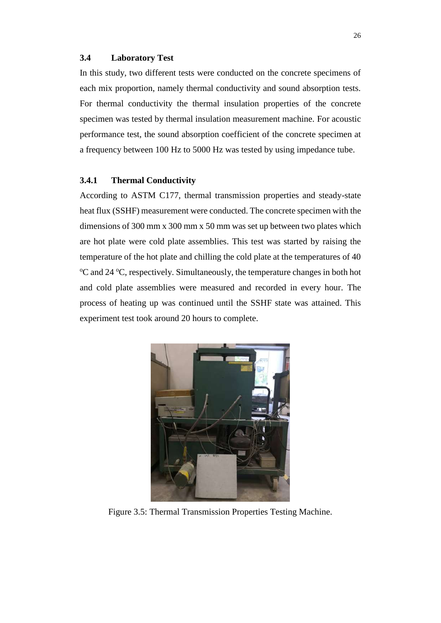#### <span id="page-38-0"></span>**3.4 Laboratory Test**

In this study, two different tests were conducted on the concrete specimens of each mix proportion, namely thermal conductivity and sound absorption tests. For thermal conductivity the thermal insulation properties of the concrete specimen was tested by thermal insulation measurement machine. For acoustic performance test, the sound absorption coefficient of the concrete specimen at a frequency between 100 Hz to 5000 Hz was tested by using impedance tube.

#### <span id="page-38-1"></span>**3.4.1 Thermal Conductivity**

According to ASTM C177, thermal transmission properties and steady-state heat flux (SSHF) measurement were conducted. The concrete specimen with the dimensions of 300 mm x 300 mm x 50 mm was set up between two plates which are hot plate were cold plate assemblies. This test was started by raising the temperature of the hot plate and chilling the cold plate at the temperatures of 40 <sup>o</sup>C and 24 <sup>o</sup>C, respectively. Simultaneously, the temperature changes in both hot and cold plate assemblies were measured and recorded in every hour. The process of heating up was continued until the SSHF state was attained. This experiment test took around 20 hours to complete.

<span id="page-38-2"></span>

Figure 3.5: Thermal Transmission Properties Testing Machine.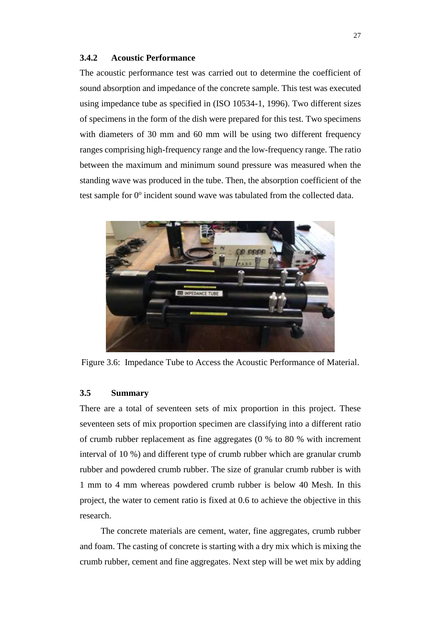#### <span id="page-39-0"></span>**3.4.2 Acoustic Performance**

The acoustic performance test was carried out to determine the coefficient of sound absorption and impedance of the concrete sample. This test was executed using impedance tube as specified in (ISO 10534-1, 1996). Two different sizes of specimens in the form of the dish were prepared for this test. Two specimens with diameters of 30 mm and 60 mm will be using two different frequency ranges comprising high-frequency range and the low-frequency range. The ratio between the maximum and minimum sound pressure was measured when the standing wave was produced in the tube. Then, the absorption coefficient of the test sample for 0° incident sound wave was tabulated from the collected data.



Figure 3.6: Impedance Tube to Access the Acoustic Performance of Material.

## <span id="page-39-2"></span><span id="page-39-1"></span>**3.5 Summary**

There are a total of seventeen sets of mix proportion in this project. These seventeen sets of mix proportion specimen are classifying into a different ratio of crumb rubber replacement as fine aggregates (0 % to 80 % with increment interval of 10 %) and different type of crumb rubber which are granular crumb rubber and powdered crumb rubber. The size of granular crumb rubber is with 1 mm to 4 mm whereas powdered crumb rubber is below 40 Mesh. In this project, the water to cement ratio is fixed at 0.6 to achieve the objective in this research.

The concrete materials are cement, water, fine aggregates, crumb rubber and foam. The casting of concrete is starting with a dry mix which is mixing the crumb rubber, cement and fine aggregates. Next step will be wet mix by adding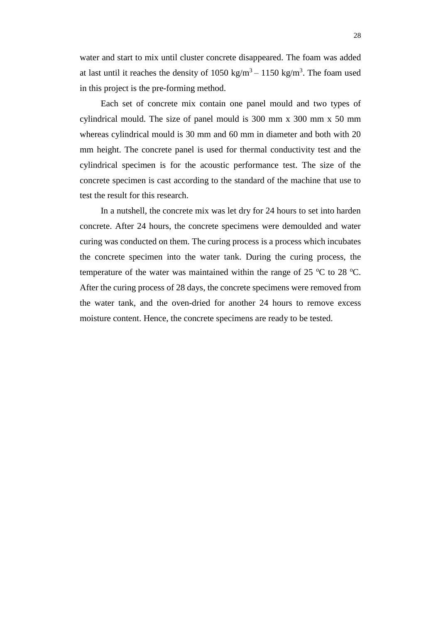water and start to mix until cluster concrete disappeared. The foam was added at last until it reaches the density of  $1050 \text{ kg/m}^3 - 1150 \text{ kg/m}^3$ . The foam used in this project is the pre-forming method.

Each set of concrete mix contain one panel mould and two types of cylindrical mould. The size of panel mould is 300 mm x 300 mm x 50 mm whereas cylindrical mould is 30 mm and 60 mm in diameter and both with 20 mm height. The concrete panel is used for thermal conductivity test and the cylindrical specimen is for the acoustic performance test. The size of the concrete specimen is cast according to the standard of the machine that use to test the result for this research.

In a nutshell, the concrete mix was let dry for 24 hours to set into harden concrete. After 24 hours, the concrete specimens were demoulded and water curing was conducted on them. The curing process is a process which incubates the concrete specimen into the water tank. During the curing process, the temperature of the water was maintained within the range of 25  $\mathrm{^{\circ}C}$  to 28  $\mathrm{^{\circ}C}$ . After the curing process of 28 days, the concrete specimens were removed from the water tank, and the oven-dried for another 24 hours to remove excess moisture content. Hence, the concrete specimens are ready to be tested.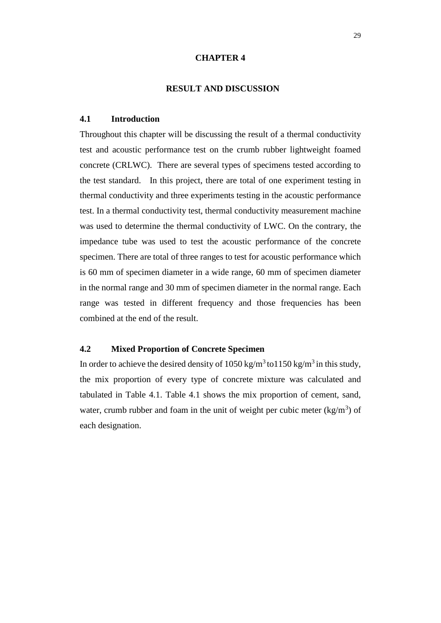#### **CHAPTER 4**

## **4RESULT AND DISCUSSION**

#### <span id="page-41-1"></span><span id="page-41-0"></span>**4.1 Introduction**

Throughout this chapter will be discussing the result of a thermal conductivity test and acoustic performance test on the crumb rubber lightweight foamed concrete (CRLWC). There are several types of specimens tested according to the test standard. In this project, there are total of one experiment testing in thermal conductivity and three experiments testing in the acoustic performance test. In a thermal conductivity test, thermal conductivity measurement machine was used to determine the thermal conductivity of LWC. On the contrary, the impedance tube was used to test the acoustic performance of the concrete specimen. There are total of three ranges to test for acoustic performance which is 60 mm of specimen diameter in a wide range, 60 mm of specimen diameter in the normal range and 30 mm of specimen diameter in the normal range. Each range was tested in different frequency and those frequencies has been combined at the end of the result.

## <span id="page-41-2"></span>**4.2 Mixed Proportion of Concrete Specimen**

In order to achieve the desired density of 1050 kg/m<sup>3</sup>to1150 kg/m<sup>3</sup> in this study, the mix proportion of every type of concrete mixture was calculated and tabulated in Table 4.1. Table 4.1 shows the mix proportion of cement, sand, water, crumb rubber and foam in the unit of weight per cubic meter  $\frac{kg}{m^3}$  of each designation.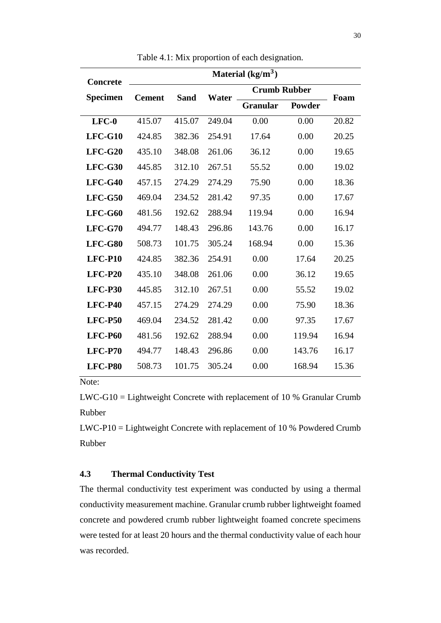<span id="page-42-1"></span>

| <b>Concrete</b> | Material $(kg/m^3)$ |             |        |                     |               |       |  |  |  |  |
|-----------------|---------------------|-------------|--------|---------------------|---------------|-------|--|--|--|--|
| Specimen        | <b>Cement</b>       | <b>Sand</b> | Water  | <b>Crumb Rubber</b> |               | Foam  |  |  |  |  |
|                 |                     |             |        | <b>Granular</b>     | <b>Powder</b> |       |  |  |  |  |
| $LFC-0$         | 415.07              | 415.07      | 249.04 | 0.00                | 0.00          | 20.82 |  |  |  |  |
| $LFC-G10$       | 424.85              | 382.36      | 254.91 | 17.64               | 0.00          | 20.25 |  |  |  |  |
| $LFC-G20$       | 435.10              | 348.08      | 261.06 | 36.12               | 0.00          | 19.65 |  |  |  |  |
| $LFC-G30$       | 445.85              | 312.10      | 267.51 | 55.52               | 0.00          | 19.02 |  |  |  |  |
| $LFC-G40$       | 457.15              | 274.29      | 274.29 | 75.90               | 0.00          | 18.36 |  |  |  |  |
| $LFC-G50$       | 469.04              | 234.52      | 281.42 | 97.35               | 0.00          | 17.67 |  |  |  |  |
| $LFC-G60$       | 481.56              | 192.62      | 288.94 | 119.94              | 0.00          | 16.94 |  |  |  |  |
| $LFC-G70$       | 494.77              | 148.43      | 296.86 | 143.76              | 0.00          | 16.17 |  |  |  |  |
| LFC-G80         | 508.73              | 101.75      | 305.24 | 168.94              | 0.00          | 15.36 |  |  |  |  |
| <b>LFC-P10</b>  | 424.85              | 382.36      | 254.91 | 0.00                | 17.64         | 20.25 |  |  |  |  |
| $LFC-P20$       | 435.10              | 348.08      | 261.06 | 0.00                | 36.12         | 19.65 |  |  |  |  |
| <b>LFC-P30</b>  | 445.85              | 312.10      | 267.51 | 0.00                | 55.52         | 19.02 |  |  |  |  |
| <b>LFC-P40</b>  | 457.15              | 274.29      | 274.29 | 0.00                | 75.90         | 18.36 |  |  |  |  |
| <b>LFC-P50</b>  | 469.04              | 234.52      | 281.42 | 0.00                | 97.35         | 17.67 |  |  |  |  |
| <b>LFC-P60</b>  | 481.56              | 192.62      | 288.94 | 0.00                | 119.94        | 16.94 |  |  |  |  |
| <b>LFC-P70</b>  | 494.77              | 148.43      | 296.86 | 0.00                | 143.76        | 16.17 |  |  |  |  |
| <b>LFC-P80</b>  | 508.73              | 101.75      | 305.24 | 0.00                | 168.94        | 15.36 |  |  |  |  |

Table 4.1: Mix proportion of each designation.

Note:

LWC-G10 = Lightweight Concrete with replacement of 10 % Granular Crumb Rubber

LWC-P10 = Lightweight Concrete with replacement of 10 % Powdered Crumb Rubber

## <span id="page-42-0"></span>**4.3 Thermal Conductivity Test**

The thermal conductivity test experiment was conducted by using a thermal conductivity measurement machine. Granular crumb rubber lightweight foamed concrete and powdered crumb rubber lightweight foamed concrete specimens were tested for at least 20 hours and the thermal conductivity value of each hour was recorded.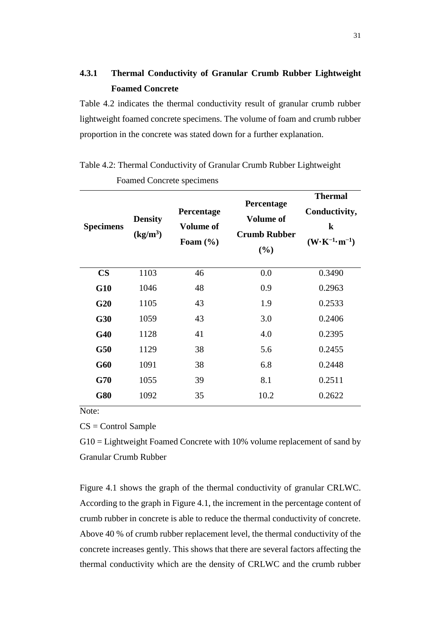# <span id="page-43-0"></span>**4.3.1 Thermal Conductivity of Granular Crumb Rubber Lightweight Foamed Concrete**

Table 4.2 indicates the thermal conductivity result of granular crumb rubber lightweight foamed concrete specimens. The volume of foam and crumb rubber proportion in the concrete was stated down for a further explanation.

| <b>Specimens</b> | <b>Density</b><br>(kg/m <sup>3</sup> ) | Percentage<br><b>Volume of</b><br>Foam $(\% )$ | Percentage<br><b>Volume of</b><br><b>Crumb Rubber</b><br>(%) | <b>Thermal</b><br>Conductivity,<br>$\bf k$<br>$(\mathbf{W} \cdot \mathbf{K}^{-1} \cdot \mathbf{m}^{-1})$ |
|------------------|----------------------------------------|------------------------------------------------|--------------------------------------------------------------|----------------------------------------------------------------------------------------------------------|
| $\mathbf{CS}$    | 1103                                   | 46                                             | 0.0                                                          | 0.3490                                                                                                   |
| <b>G10</b>       | 1046                                   | 48                                             | 0.9                                                          | 0.2963                                                                                                   |
| G20              | 1105                                   | 43                                             | 1.9                                                          | 0.2533                                                                                                   |
| <b>G30</b>       | 1059                                   | 43                                             | 3.0                                                          | 0.2406                                                                                                   |
| <b>G40</b>       | 1128                                   | 41                                             | 4.0                                                          | 0.2395                                                                                                   |
| G50              | 1129                                   | 38                                             | 5.6                                                          | 0.2455                                                                                                   |
| G60              | 1091                                   | 38                                             | 6.8                                                          | 0.2448                                                                                                   |
| G70              | 1055                                   | 39                                             | 8.1                                                          | 0.2511                                                                                                   |
| <b>G80</b>       | 1092                                   | 35                                             | 10.2                                                         | 0.2622                                                                                                   |

<span id="page-43-1"></span>Table 4.2: Thermal Conductivity of Granular Crumb Rubber Lightweight

Foamed Concrete specimens

Note:

CS = Control Sample

G10 = Lightweight Foamed Concrete with 10% volume replacement of sand by Granular Crumb Rubber

Figure 4.1 shows the graph of the thermal conductivity of granular CRLWC. According to the graph in Figure 4.1, the increment in the percentage content of crumb rubber in concrete is able to reduce the thermal conductivity of concrete. Above 40 % of crumb rubber replacement level, the thermal conductivity of the concrete increases gently. This shows that there are several factors affecting the thermal conductivity which are the density of CRLWC and the crumb rubber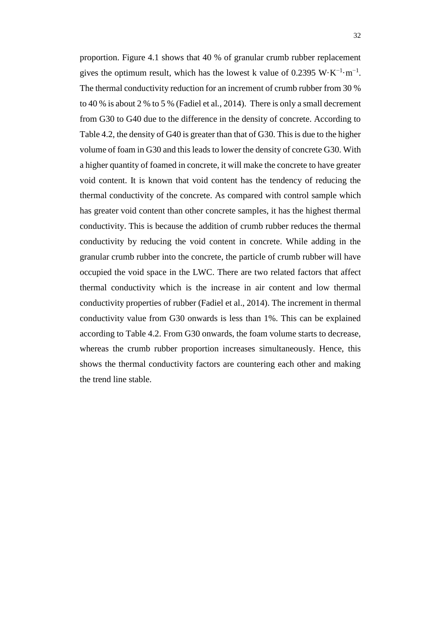proportion. Figure 4.1 shows that 40 % of granular crumb rubber replacement gives the optimum result, which has the lowest k value of 0.2395 W⋅K<sup>-1</sup>⋅m<sup>-1</sup>. The thermal conductivity reduction for an increment of crumb rubber from 30 % to 40 % is about 2 % to 5 % (Fadiel et al*.*, 2014). There is only a small decrement from G30 to G40 due to the difference in the density of concrete. According to Table 4.2, the density of G40 is greater than that of G30. This is due to the higher volume of foam in G30 and this leads to lower the density of concrete G30. With a higher quantity of foamed in concrete, it will make the concrete to have greater void content. It is known that void content has the tendency of reducing the thermal conductivity of the concrete. As compared with control sample which has greater void content than other concrete samples, it has the highest thermal conductivity. This is because the addition of crumb rubber reduces the thermal conductivity by reducing the void content in concrete. While adding in the granular crumb rubber into the concrete, the particle of crumb rubber will have occupied the void space in the LWC. There are two related factors that affect thermal conductivity which is the increase in air content and low thermal conductivity properties of rubber (Fadiel et al., 2014). The increment in thermal conductivity value from G30 onwards is less than 1%. This can be explained according to Table 4.2. From G30 onwards, the foam volume starts to decrease, whereas the crumb rubber proportion increases simultaneously. Hence, this shows the thermal conductivity factors are countering each other and making the trend line stable.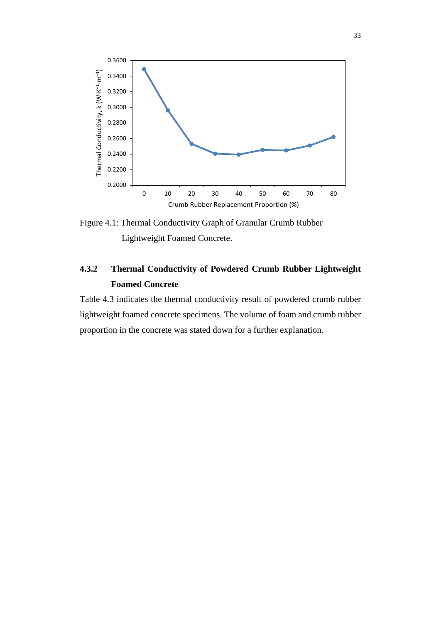

<span id="page-45-1"></span>Figure 4.1: Thermal Conductivity Graph of Granular Crumb Rubber Lightweight Foamed Concrete.

# <span id="page-45-0"></span>**4.3.2 Thermal Conductivity of Powdered Crumb Rubber Lightweight Foamed Concrete**

Table 4.3 indicates the thermal conductivity result of powdered crumb rubber lightweight foamed concrete specimens. The volume of foam and crumb rubber proportion in the concrete was stated down for a further explanation.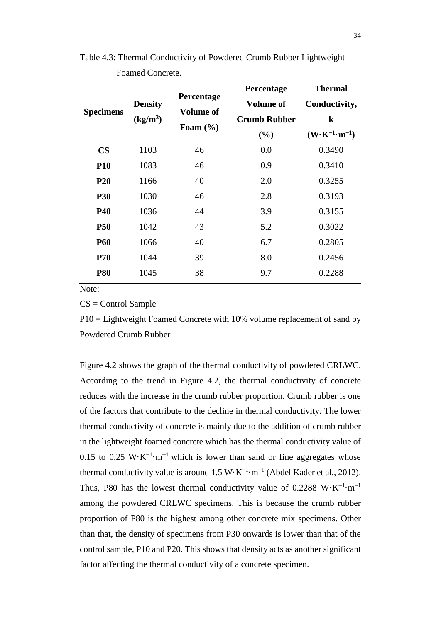| <b>Specimens</b> | <b>Density</b><br>(kg/m <sup>3</sup> ) | Percentage<br><b>Volume of</b><br>Foam $(\% )$ | Percentage<br><b>Volume of</b><br><b>Crumb Rubber</b><br>(%) | <b>Thermal</b><br>Conductivity,<br>$\bf k$<br>$(W\cdot K^{-1}\cdot m^{-1})$ |
|------------------|----------------------------------------|------------------------------------------------|--------------------------------------------------------------|-----------------------------------------------------------------------------|
| $\mathbf{CS}$    | 1103                                   | 46                                             | 0.0                                                          | 0.3490                                                                      |
| <b>P10</b>       | 1083                                   | 46                                             | 0.9                                                          | 0.3410                                                                      |
| <b>P20</b>       | 1166                                   | 40                                             | 2.0                                                          | 0.3255                                                                      |
| <b>P30</b>       | 1030                                   | 46                                             | 2.8                                                          | 0.3193                                                                      |
| <b>P40</b>       | 1036                                   | 44                                             | 3.9                                                          | 0.3155                                                                      |
| <b>P50</b>       | 1042                                   | 43                                             | 5.2                                                          | 0.3022                                                                      |
| <b>P60</b>       | 1066                                   | 40                                             | 6.7                                                          | 0.2805                                                                      |
| <b>P70</b>       | 1044                                   | 39                                             | 8.0                                                          | 0.2456                                                                      |
| <b>P80</b>       | 1045                                   | 38                                             | 9.7                                                          | 0.2288                                                                      |

<span id="page-46-0"></span>Table 4.3: Thermal Conductivity of Powdered Crumb Rubber Lightweight Foamed Concrete.

Note:

 $CS =$  Control Sample

P10 = Lightweight Foamed Concrete with 10% volume replacement of sand by Powdered Crumb Rubber

Figure 4.2 shows the graph of the thermal conductivity of powdered CRLWC. According to the trend in Figure 4.2, the thermal conductivity of concrete reduces with the increase in the crumb rubber proportion. Crumb rubber is one of the factors that contribute to the decline in thermal conductivity. The lower thermal conductivity of concrete is mainly due to the addition of crumb rubber in the lightweight foamed concrete which has the thermal conductivity value of 0.15 to 0.25 W⋅K<sup>-1</sup>⋅m<sup>-1</sup> which is lower than sand or fine aggregates whose thermal conductivity value is around  $1.5 \text{ W} \cdot \text{K}^{-1} \cdot \text{m}^{-1}$  (Abdel Kader et al., 2012). Thus, P80 has the lowest thermal conductivity value of 0.2288 W⋅K<sup>-1</sup>⋅m<sup>-1</sup> among the powdered CRLWC specimens. This is because the crumb rubber proportion of P80 is the highest among other concrete mix specimens. Other than that, the density of specimens from P30 onwards is lower than that of the control sample, P10 and P20. This shows that density acts as another significant factor affecting the thermal conductivity of a concrete specimen.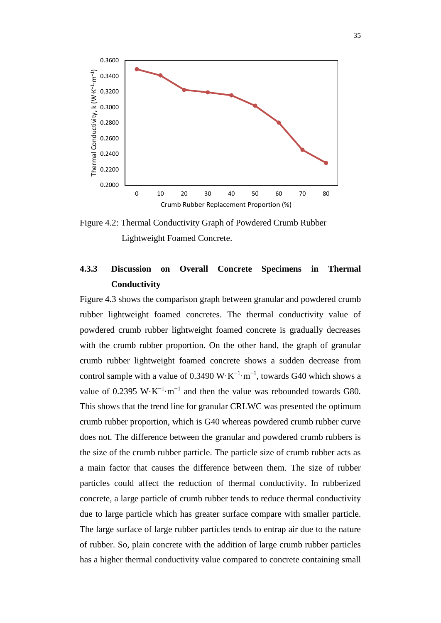

<span id="page-47-1"></span>Figure 4.2: Thermal Conductivity Graph of Powdered Crumb Rubber Lightweight Foamed Concrete.

# <span id="page-47-0"></span>**4.3.3 Discussion on Overall Concrete Specimens in Thermal Conductivity**

Figure 4.3 shows the comparison graph between granular and powdered crumb rubber lightweight foamed concretes. The thermal conductivity value of powdered crumb rubber lightweight foamed concrete is gradually decreases with the crumb rubber proportion. On the other hand, the graph of granular crumb rubber lightweight foamed concrete shows a sudden decrease from control sample with a value of 0.3490 W $\cdot$ K<sup>-1</sup> $\cdot$ m<sup>-1</sup>, towards G40 which shows a value of 0.2395 W⋅K<sup>-1</sup>⋅m<sup>-1</sup> and then the value was rebounded towards G80. This shows that the trend line for granular CRLWC was presented the optimum crumb rubber proportion, which is G40 whereas powdered crumb rubber curve does not. The difference between the granular and powdered crumb rubbers is the size of the crumb rubber particle. The particle size of crumb rubber acts as a main factor that causes the difference between them. The size of rubber particles could affect the reduction of thermal conductivity. In rubberized concrete, a large particle of crumb rubber tends to reduce thermal conductivity due to large particle which has greater surface compare with smaller particle. The large surface of large rubber particles tends to entrap air due to the nature of rubber. So, plain concrete with the addition of large crumb rubber particles has a higher thermal conductivity value compared to concrete containing small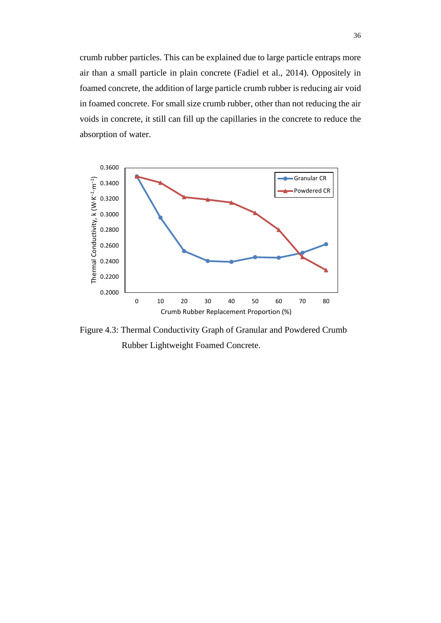crumb rubber particles. This can be explained due to large particle entraps more air than a small particle in plain concrete (Fadiel et al., 2014). Oppositely in foamed concrete, the addition of large particle crumb rubber is reducing air void in foamed concrete. For small size crumb rubber, other than not reducing the air voids in concrete, it still can fill up the capillaries in the concrete to reduce the absorption of water.



<span id="page-48-0"></span>Figure 4.3: Thermal Conductivity Graph of Granular and Powdered Crumb Rubber Lightweight Foamed Concrete.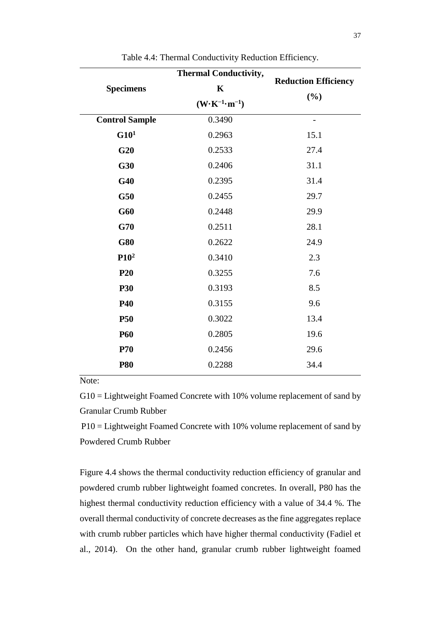<span id="page-49-0"></span>

| <b>Specimens</b>      | <b>Thermal Conductivity,</b><br>$\mathbf K$                | <b>Reduction Efficiency</b> |  |  |
|-----------------------|------------------------------------------------------------|-----------------------------|--|--|
|                       | $(\mathbf{W} \cdot \mathbf{K}^{-1} \cdot \mathbf{m}^{-1})$ | $(\%)$                      |  |  |
| <b>Control Sample</b> | 0.3490                                                     | -                           |  |  |
| G10 <sup>1</sup>      | 0.2963                                                     | 15.1                        |  |  |
| G20                   | 0.2533                                                     | 27.4                        |  |  |
| G30                   | 0.2406                                                     | 31.1                        |  |  |
| G40                   | 0.2395                                                     | 31.4                        |  |  |
| G50                   | 0.2455                                                     | 29.7                        |  |  |
| G60                   | 0.2448                                                     | 29.9                        |  |  |
| G70                   | 0.2511                                                     | 28.1                        |  |  |
| <b>G80</b>            | 0.2622                                                     | 24.9                        |  |  |
| P10 <sup>2</sup>      | 0.3410                                                     | 2.3                         |  |  |
| P <sub>20</sub>       | 0.3255                                                     | 7.6                         |  |  |
| <b>P30</b>            | 0.3193                                                     | 8.5                         |  |  |
| <b>P40</b>            | 0.3155                                                     | 9.6                         |  |  |
| <b>P50</b>            | 0.3022                                                     | 13.4                        |  |  |
| <b>P60</b>            | 0.2805                                                     | 19.6                        |  |  |
| <b>P70</b>            | 0.2456                                                     | 29.6                        |  |  |
| <b>P80</b>            | 0.2288                                                     | 34.4                        |  |  |
|                       |                                                            |                             |  |  |

Table 4.4: Thermal Conductivity Reduction Efficiency.

Note:

G10 = Lightweight Foamed Concrete with 10% volume replacement of sand by Granular Crumb Rubber

P10 = Lightweight Foamed Concrete with 10% volume replacement of sand by Powdered Crumb Rubber

Figure 4.4 shows the thermal conductivity reduction efficiency of granular and powdered crumb rubber lightweight foamed concretes. In overall, P80 has the highest thermal conductivity reduction efficiency with a value of 34.4 %. The overall thermal conductivity of concrete decreases as the fine aggregates replace with crumb rubber particles which have higher thermal conductivity (Fadiel et al., 2014). On the other hand, granular crumb rubber lightweight foamed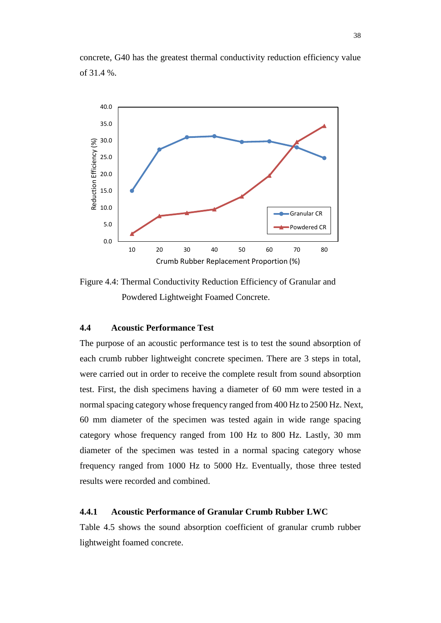



<span id="page-50-2"></span>Figure 4.4: Thermal Conductivity Reduction Efficiency of Granular and Powdered Lightweight Foamed Concrete.

## <span id="page-50-0"></span>**4.4 Acoustic Performance Test**

The purpose of an acoustic performance test is to test the sound absorption of each crumb rubber lightweight concrete specimen. There are 3 steps in total, were carried out in order to receive the complete result from sound absorption test. First, the dish specimens having a diameter of 60 mm were tested in a normal spacing category whose frequency ranged from 400 Hz to 2500 Hz. Next, 60 mm diameter of the specimen was tested again in wide range spacing category whose frequency ranged from 100 Hz to 800 Hz. Lastly, 30 mm diameter of the specimen was tested in a normal spacing category whose frequency ranged from 1000 Hz to 5000 Hz. Eventually, those three tested results were recorded and combined.

#### <span id="page-50-1"></span>**4.4.1 Acoustic Performance of Granular Crumb Rubber LWC**

Table 4.5 shows the sound absorption coefficient of granular crumb rubber lightweight foamed concrete.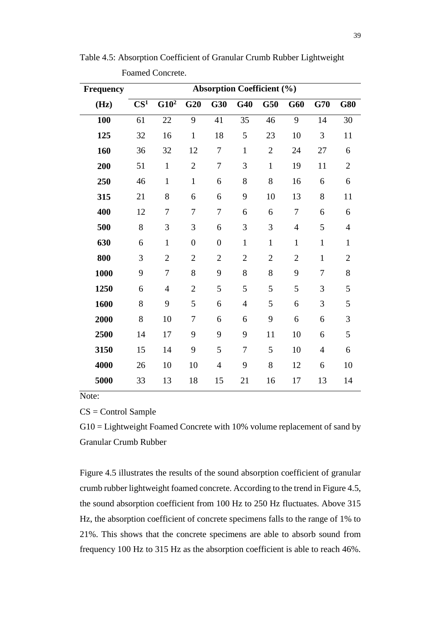| <b>Frequency</b> | <b>Absorption Coefficient (%)</b> |                  |                  |                  |                  |                |                |                |                |
|------------------|-----------------------------------|------------------|------------------|------------------|------------------|----------------|----------------|----------------|----------------|
| (Hz)             | CS <sup>1</sup>                   | G10 <sup>2</sup> | G20              | G30              | G40              | G50            | G60            | G70            | <b>G80</b>     |
| 100              | 61                                | 22               | 9                | 41               | 35               | 46             | 9              | 14             | 30             |
| 125              | 32                                | 16               | $\mathbf{1}$     | 18               | 5                | 23             | 10             | 3              | 11             |
| 160              | 36                                | 32               | 12               | 7                | $\mathbf{1}$     | $\overline{2}$ | 24             | 27             | 6              |
| 200              | 51                                | $\mathbf{1}$     | $\overline{2}$   | $\tau$           | 3                | $\mathbf{1}$   | 19             | 11             | $\overline{2}$ |
| 250              | 46                                | $\mathbf{1}$     | $\mathbf{1}$     | 6                | 8                | 8              | 16             | 6              | 6              |
| 315              | 21                                | 8                | 6                | 6                | 9                | 10             | 13             | 8              | 11             |
| 400              | 12                                | 7                | 7                | 7                | 6                | 6              | $\tau$         | 6              | 6              |
| 500              | 8                                 | 3                | 3                | 6                | 3                | 3              | $\overline{4}$ | 5              | $\overline{4}$ |
| 630              | 6                                 | $\mathbf{1}$     | $\boldsymbol{0}$ | $\boldsymbol{0}$ | $\mathbf{1}$     | $\mathbf{1}$   | $\mathbf{1}$   | $\mathbf{1}$   | $\mathbf{1}$   |
| 800              | 3                                 | $\overline{2}$   | $\overline{2}$   | $\overline{2}$   | $\overline{2}$   | $\overline{2}$ | $\overline{2}$ | $\mathbf{1}$   | $\overline{2}$ |
| 1000             | 9                                 | 7                | 8                | 9                | 8                | 8              | 9              | $\overline{7}$ | 8              |
| 1250             | 6                                 | $\overline{4}$   | $\mathbf{2}$     | 5                | 5                | 5              | 5              | 3              | 5              |
| 1600             | 8                                 | 9                | 5                | 6                | $\overline{4}$   | 5              | 6              | 3              | 5              |
| 2000             | 8                                 | 10               | 7                | 6                | 6                | 9              | 6              | 6              | 3              |
| 2500             | 14                                | 17               | 9                | 9                | 9                | 11             | 10             | 6              | 5              |
| 3150             | 15                                | 14               | 9                | 5                | $\boldsymbol{7}$ | 5              | 10             | $\overline{4}$ | 6              |
| 4000             | 26                                | 10               | 10               | $\overline{4}$   | 9                | 8              | 12             | 6              | 10             |
| 5000             | 33                                | 13               | 18               | 15               | 21               | 16             | 17             | 13             | 14             |

<span id="page-51-0"></span>Table 4.5: Absorption Coefficient of Granular Crumb Rubber Lightweight Foamed Concrete.

Note:

CS = Control Sample

G10 = Lightweight Foamed Concrete with 10% volume replacement of sand by Granular Crumb Rubber

Figure 4.5 illustrates the results of the sound absorption coefficient of granular crumb rubber lightweight foamed concrete. According to the trend in Figure 4.5, the sound absorption coefficient from 100 Hz to 250 Hz fluctuates. Above 315 Hz, the absorption coefficient of concrete specimens falls to the range of 1% to 21%. This shows that the concrete specimens are able to absorb sound from frequency 100 Hz to 315 Hz as the absorption coefficient is able to reach 46%.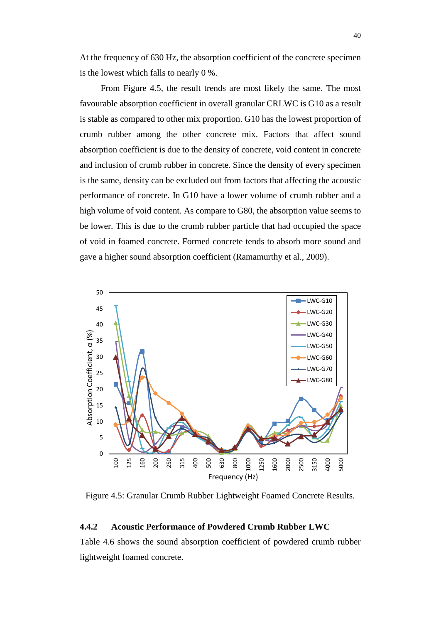At the frequency of 630 Hz, the absorption coefficient of the concrete specimen is the lowest which falls to nearly 0 %.

From Figure 4.5, the result trends are most likely the same. The most favourable absorption coefficient in overall granular CRLWC is G10 as a result is stable as compared to other mix proportion. G10 has the lowest proportion of crumb rubber among the other concrete mix. Factors that affect sound absorption coefficient is due to the density of concrete, void content in concrete and inclusion of crumb rubber in concrete. Since the density of every specimen is the same, density can be excluded out from factors that affecting the acoustic performance of concrete. In G10 have a lower volume of crumb rubber and a high volume of void content. As compare to G80, the absorption value seems to be lower. This is due to the crumb rubber particle that had occupied the space of void in foamed concrete. Formed concrete tends to absorb more sound and gave a higher sound absorption coefficient (Ramamurthy et al., 2009).



<span id="page-52-1"></span>Figure 4.5: Granular Crumb Rubber Lightweight Foamed Concrete Results.

#### <span id="page-52-0"></span>**4.4.2 Acoustic Performance of Powdered Crumb Rubber LWC**

Table 4.6 shows the sound absorption coefficient of powdered crumb rubber lightweight foamed concrete.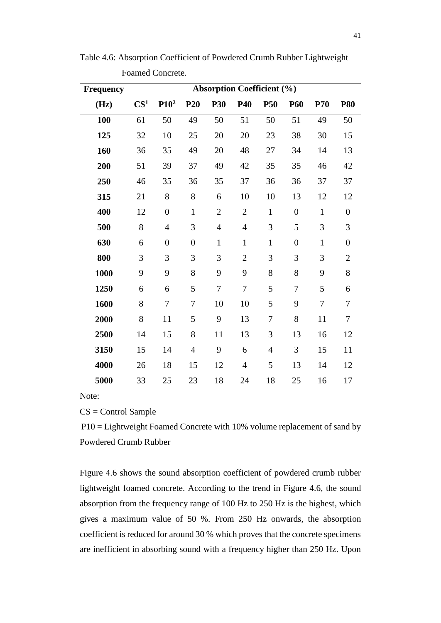| <b>Frequency</b> | <b>Absorption Coefficient (%)</b> |                  |                  |                |                |                |                  |              |                  |
|------------------|-----------------------------------|------------------|------------------|----------------|----------------|----------------|------------------|--------------|------------------|
| (Hz)             | CS <sup>1</sup>                   | P10 <sup>2</sup> | <b>P20</b>       | <b>P30</b>     | P40            | <b>P50</b>     | <b>P60</b>       | <b>P70</b>   | <b>P80</b>       |
| 100              | 61                                | 50               | 49               | 50             | 51             | 50             | 51               | 49           | 50               |
| 125              | 32                                | 10               | 25               | 20             | 20             | 23             | 38               | 30           | 15               |
| 160              | 36                                | 35               | 49               | 20             | 48             | 27             | 34               | 14           | 13               |
| 200              | 51                                | 39               | 37               | 49             | 42             | 35             | 35               | 46           | 42               |
| 250              | 46                                | 35               | 36               | 35             | 37             | 36             | 36               | 37           | 37               |
| 315              | 21                                | 8                | 8                | 6              | 10             | 10             | 13               | 12           | 12               |
| 400              | 12                                | $\overline{0}$   | $\mathbf{1}$     | $\overline{2}$ | $\mathfrak{2}$ | $\mathbf{1}$   | $\overline{0}$   | $\mathbf{1}$ | $\boldsymbol{0}$ |
| 500              | 8                                 | $\overline{4}$   | 3                | $\overline{4}$ | $\overline{4}$ | 3              | 5                | 3            | 3                |
| 630              | 6                                 | $\overline{0}$   | $\boldsymbol{0}$ | $\mathbf{1}$   | $\mathbf{1}$   | $\mathbf{1}$   | $\boldsymbol{0}$ | $\mathbf{1}$ | $\boldsymbol{0}$ |
| 800              | 3                                 | 3                | 3                | 3              | $\overline{2}$ | 3              | 3                | 3            | $\overline{2}$   |
| 1000             | 9                                 | 9                | 8                | 9              | 9              | 8              | 8                | 9            | 8                |
| 1250             | 6                                 | 6                | 5                | $\overline{7}$ | $\tau$         | 5              | 7                | 5            | 6                |
| 1600             | 8                                 | 7                | 7                | 10             | 10             | 5              | 9                | 7            | 7                |
| 2000             | 8                                 | 11               | 5                | 9              | 13             | 7              | 8                | 11           | $\tau$           |
| 2500             | 14                                | 15               | 8                | 11             | 13             | 3              | 13               | 16           | 12               |
| 3150             | 15                                | 14               | $\overline{4}$   | 9              | 6              | $\overline{4}$ | 3                | 15           | 11               |
| 4000             | 26                                | 18               | 15               | 12             | $\overline{4}$ | 5              | 13               | 14           | 12               |
| 5000             | 33                                | 25               | 23               | 18             | 24             | 18             | 25               | 16           | 17               |

<span id="page-53-0"></span>Table 4.6: Absorption Coefficient of Powdered Crumb Rubber Lightweight Foamed Concrete.

Note:

CS = Control Sample

P10 = Lightweight Foamed Concrete with 10% volume replacement of sand by Powdered Crumb Rubber

Figure 4.6 shows the sound absorption coefficient of powdered crumb rubber lightweight foamed concrete. According to the trend in Figure 4.6, the sound absorption from the frequency range of 100 Hz to 250 Hz is the highest, which gives a maximum value of 50 %. From 250 Hz onwards, the absorption coefficient is reduced for around 30 % which proves that the concrete specimens are inefficient in absorbing sound with a frequency higher than 250 Hz. Upon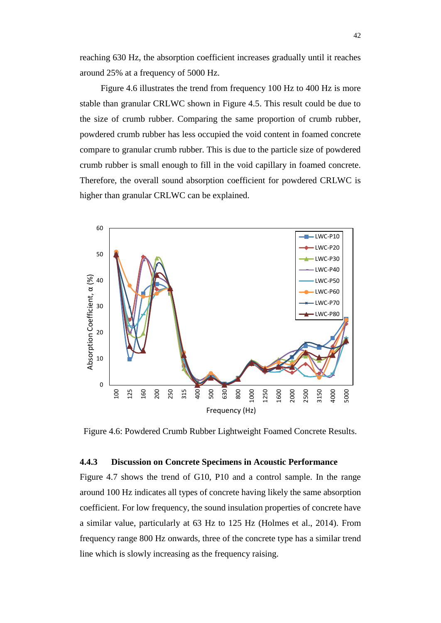reaching 630 Hz, the absorption coefficient increases gradually until it reaches around 25% at a frequency of 5000 Hz.

Figure 4.6 illustrates the trend from frequency 100 Hz to 400 Hz is more stable than granular CRLWC shown in Figure 4.5. This result could be due to the size of crumb rubber. Comparing the same proportion of crumb rubber, powdered crumb rubber has less occupied the void content in foamed concrete compare to granular crumb rubber. This is due to the particle size of powdered crumb rubber is small enough to fill in the void capillary in foamed concrete. Therefore, the overall sound absorption coefficient for powdered CRLWC is higher than granular CRLWC can be explained.



<span id="page-54-1"></span>Figure 4.6: Powdered Crumb Rubber Lightweight Foamed Concrete Results.

## <span id="page-54-0"></span>**4.4.3 Discussion on Concrete Specimens in Acoustic Performance**

Figure 4.7 shows the trend of G10, P10 and a control sample. In the range around 100 Hz indicates all types of concrete having likely the same absorption coefficient. For low frequency, the sound insulation properties of concrete have a similar value, particularly at 63 Hz to 125 Hz (Holmes et al., 2014). From frequency range 800 Hz onwards, three of the concrete type has a similar trend line which is slowly increasing as the frequency raising.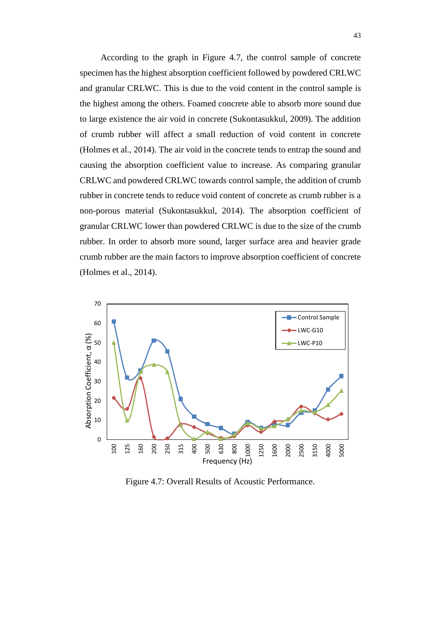According to the graph in Figure 4.7, the control sample of concrete specimen has the highest absorption coefficient followed by powdered CRLWC and granular CRLWC. This is due to the void content in the control sample is the highest among the others. Foamed concrete able to absorb more sound due to large existence the air void in concrete (Sukontasukkul, 2009). The addition of crumb rubber will affect a small reduction of void content in concrete (Holmes et al., 2014). The air void in the concrete tends to entrap the sound and causing the absorption coefficient value to increase. As comparing granular CRLWC and powdered CRLWC towards control sample, the addition of crumb rubber in concrete tends to reduce void content of concrete as crumb rubber is a non-porous material (Sukontasukkul, 2014). The absorption coefficient of granular CRLWC lower than powdered CRLWC is due to the size of the crumb rubber. In order to absorb more sound, larger surface area and heavier grade crumb rubber are the main factors to improve absorption coefficient of concrete (Holmes et al., 2014).



<span id="page-55-0"></span>Figure 4.7: Overall Results of Acoustic Performance.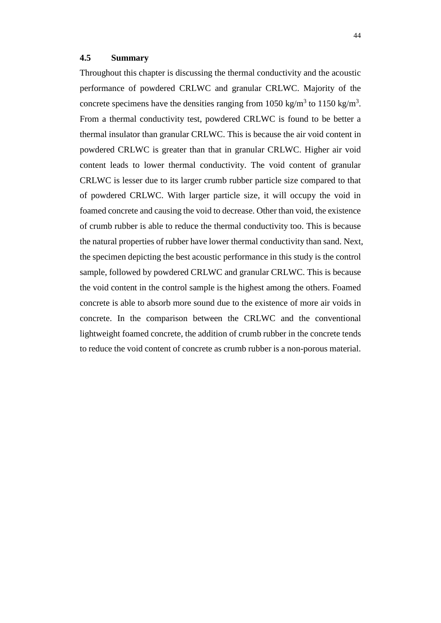#### <span id="page-56-0"></span>**4.5 Summary**

Throughout this chapter is discussing the thermal conductivity and the acoustic performance of powdered CRLWC and granular CRLWC. Majority of the concrete specimens have the densities ranging from 1050 kg/m<sup>3</sup> to 1150 kg/m<sup>3</sup>. From a thermal conductivity test, powdered CRLWC is found to be better a thermal insulator than granular CRLWC. This is because the air void content in powdered CRLWC is greater than that in granular CRLWC. Higher air void content leads to lower thermal conductivity. The void content of granular CRLWC is lesser due to its larger crumb rubber particle size compared to that of powdered CRLWC. With larger particle size, it will occupy the void in foamed concrete and causing the void to decrease. Other than void, the existence of crumb rubber is able to reduce the thermal conductivity too. This is because the natural properties of rubber have lower thermal conductivity than sand. Next, the specimen depicting the best acoustic performance in this study is the control sample, followed by powdered CRLWC and granular CRLWC. This is because the void content in the control sample is the highest among the others. Foamed concrete is able to absorb more sound due to the existence of more air voids in concrete. In the comparison between the CRLWC and the conventional lightweight foamed concrete, the addition of crumb rubber in the concrete tends to reduce the void content of concrete as crumb rubber is a non-porous material.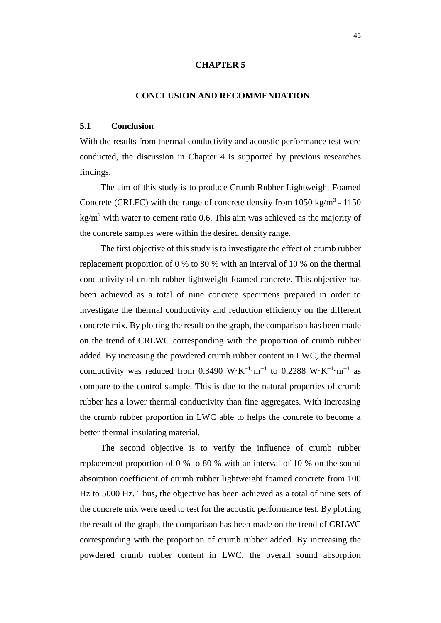#### **CHAPTER 5**

#### **5CONCLUSION AND RECOMMENDATION**

#### <span id="page-57-1"></span><span id="page-57-0"></span>**5.1 Conclusion**

With the results from thermal conductivity and acoustic performance test were conducted, the discussion in Chapter 4 is supported by previous researches findings.

The aim of this study is to produce Crumb Rubber Lightweight Foamed Concrete (CRLFC) with the range of concrete density from  $1050 \text{ kg/m}^3$  -  $1150$  $kg/m<sup>3</sup>$  with water to cement ratio 0.6. This aim was achieved as the majority of the concrete samples were within the desired density range.

The first objective of this study is to investigate the effect of crumb rubber replacement proportion of 0 % to 80 % with an interval of 10 % on the thermal conductivity of crumb rubber lightweight foamed concrete. This objective has been achieved as a total of nine concrete specimens prepared in order to investigate the thermal conductivity and reduction efficiency on the different concrete mix. By plotting the result on the graph, the comparison has been made on the trend of CRLWC corresponding with the proportion of crumb rubber added. By increasing the powdered crumb rubber content in LWC, the thermal conductivity was reduced from 0.3490 W⋅K<sup>-1</sup>⋅m<sup>-1</sup> to 0.2288 W⋅K<sup>-1</sup>⋅m<sup>-1</sup> as compare to the control sample. This is due to the natural properties of crumb rubber has a lower thermal conductivity than fine aggregates. With increasing the crumb rubber proportion in LWC able to helps the concrete to become a better thermal insulating material.

The second objective is to verify the influence of crumb rubber replacement proportion of 0 % to 80 % with an interval of 10 % on the sound absorption coefficient of crumb rubber lightweight foamed concrete from 100 Hz to 5000 Hz. Thus, the objective has been achieved as a total of nine sets of the concrete mix were used to test for the acoustic performance test. By plotting the result of the graph, the comparison has been made on the trend of CRLWC corresponding with the proportion of crumb rubber added. By increasing the powdered crumb rubber content in LWC, the overall sound absorption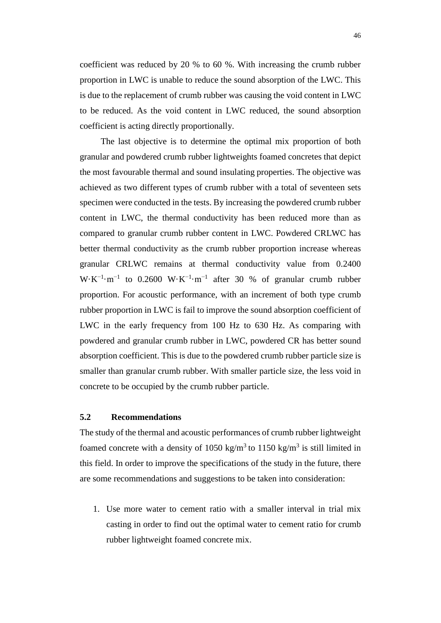coefficient was reduced by 20 % to 60 %. With increasing the crumb rubber proportion in LWC is unable to reduce the sound absorption of the LWC. This is due to the replacement of crumb rubber was causing the void content in LWC to be reduced. As the void content in LWC reduced, the sound absorption coefficient is acting directly proportionally.

The last objective is to determine the optimal mix proportion of both granular and powdered crumb rubber lightweights foamed concretes that depict the most favourable thermal and sound insulating properties. The objective was achieved as two different types of crumb rubber with a total of seventeen sets specimen were conducted in the tests. By increasing the powdered crumb rubber content in LWC, the thermal conductivity has been reduced more than as compared to granular crumb rubber content in LWC. Powdered CRLWC has better thermal conductivity as the crumb rubber proportion increase whereas granular CRLWC remains at thermal conductivity value from 0.2400  $W \cdot K^{-1} \cdot m^{-1}$  to 0.2600  $W \cdot K^{-1} \cdot m^{-1}$  after 30 % of granular crumb rubber proportion. For acoustic performance, with an increment of both type crumb rubber proportion in LWC is fail to improve the sound absorption coefficient of LWC in the early frequency from 100 Hz to 630 Hz. As comparing with powdered and granular crumb rubber in LWC, powdered CR has better sound absorption coefficient. This is due to the powdered crumb rubber particle size is smaller than granular crumb rubber. With smaller particle size, the less void in concrete to be occupied by the crumb rubber particle.

#### <span id="page-58-0"></span>**5.2 Recommendations**

The study of the thermal and acoustic performances of crumb rubber lightweight foamed concrete with a density of 1050 kg/m<sup>3</sup> to 1150 kg/m<sup>3</sup> is still limited in this field. In order to improve the specifications of the study in the future, there are some recommendations and suggestions to be taken into consideration:

1. Use more water to cement ratio with a smaller interval in trial mix casting in order to find out the optimal water to cement ratio for crumb rubber lightweight foamed concrete mix.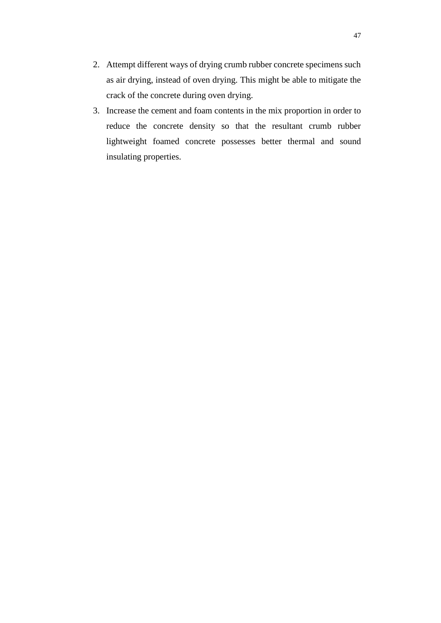- 2. Attempt different ways of drying crumb rubber concrete specimens such as air drying, instead of oven drying. This might be able to mitigate the crack of the concrete during oven drying.
- 3. Increase the cement and foam contents in the mix proportion in order to reduce the concrete density so that the resultant crumb rubber lightweight foamed concrete possesses better thermal and sound insulating properties.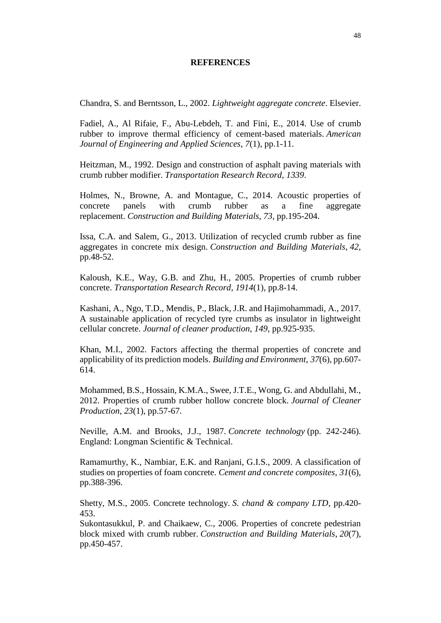#### **REFERENCES**

<span id="page-60-0"></span>Chandra, S. and Berntsson, L., 2002. *Lightweight aggregate concrete*. Elsevier.

Fadiel, A., Al Rifaie, F., Abu-Lebdeh, T. and Fini, E., 2014. Use of crumb rubber to improve thermal efficiency of cement-based materials. *American Journal of Engineering and Applied Sciences*, *7*(1), pp.1-11.

Heitzman, M., 1992. Design and construction of asphalt paving materials with crumb rubber modifier. *Transportation Research Record*, *1339*.

Holmes, N., Browne, A. and Montague, C., 2014. Acoustic properties of concrete panels with crumb rubber as a fine aggregate replacement. *Construction and Building Materials*, *73*, pp.195-204.

Issa, C.A. and Salem, G., 2013. Utilization of recycled crumb rubber as fine aggregates in concrete mix design. *Construction and Building Materials*, *42*, pp.48-52.

Kaloush, K.E., Way, G.B. and Zhu, H., 2005. Properties of crumb rubber concrete. *Transportation Research Record*, *1914*(1), pp.8-14.

Kashani, A., Ngo, T.D., Mendis, P., Black, J.R. and Hajimohammadi, A., 2017. A sustainable application of recycled tyre crumbs as insulator in lightweight cellular concrete. *Journal of cleaner production*, *149*, pp.925-935.

Khan, M.I., 2002. Factors affecting the thermal properties of concrete and applicability of its prediction models. *Building and Environment*, *37*(6), pp.607- 614.

Mohammed, B.S., Hossain, K.M.A., Swee, J.T.E., Wong, G. and Abdullahi, M., 2012. Properties of crumb rubber hollow concrete block. *Journal of Cleaner Production*, *23*(1), pp.57-67.

Neville, A.M. and Brooks, J.J., 1987. *Concrete technology* (pp. 242-246). England: Longman Scientific & Technical.

Ramamurthy, K., Nambiar, E.K. and Ranjani, G.I.S., 2009. A classification of studies on properties of foam concrete. *Cement and concrete composites*, *31*(6), pp.388-396.

Shetty, M.S., 2005. Concrete technology. *S. chand & company LTD*, pp.420- 453.

Sukontasukkul, P. and Chaikaew, C., 2006. Properties of concrete pedestrian block mixed with crumb rubber. *Construction and Building Materials*, *20*(7), pp.450-457.